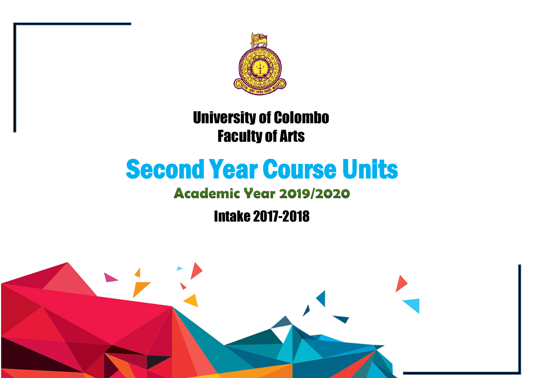

# University of Colombo Faculty of Arts

# Second Year Course Units

# **Academic Year 2019/2020**

Intake 2017-2018

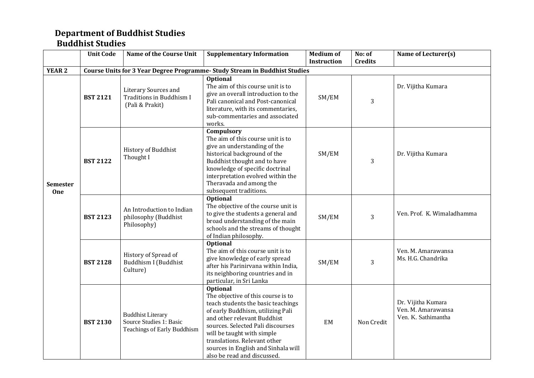#### **Department of Buddhist Studies Buddhist Studies**

|                               | <b>Unit Code</b> | <b>Name of the Course Unit</b>                                                     | <b>Supplementary Information</b>                                                                                                                                                                                                                                                                                                         | <b>Medium of</b> | No: of         | Name of Lecturer(s)                                             |
|-------------------------------|------------------|------------------------------------------------------------------------------------|------------------------------------------------------------------------------------------------------------------------------------------------------------------------------------------------------------------------------------------------------------------------------------------------------------------------------------------|------------------|----------------|-----------------------------------------------------------------|
|                               |                  |                                                                                    |                                                                                                                                                                                                                                                                                                                                          | Instruction      | <b>Credits</b> |                                                                 |
| <b>YEAR 2</b>                 |                  |                                                                                    | <b>Course Units for 3 Year Degree Programme- Study Stream in Buddhist Studies</b>                                                                                                                                                                                                                                                        |                  |                |                                                                 |
|                               | <b>BST 2121</b>  | <b>Literary Sources and</b><br>Traditions in Buddhism I<br>(Pali & Prakit)         | <b>Optional</b><br>The aim of this course unit is to<br>give an overall introduction to the<br>Pali canonical and Post-canonical<br>literature, with its commentaries,<br>sub-commentaries and associated<br>works.                                                                                                                      | SM/EM            | 3              | Dr. Vijitha Kumara                                              |
| <b>Semester</b><br><b>One</b> | <b>BST 2122</b>  | History of Buddhist<br>Thought I                                                   | Compulsory<br>The aim of this course unit is to<br>give an understanding of the<br>historical background of the<br>Buddhist thought and to have<br>knowledge of specific doctrinal<br>interpretation evolved within the<br>Theravada and among the<br>subsequent traditions.                                                             | SM/EM            | 3              | Dr. Vijitha Kumara                                              |
|                               | <b>BST 2123</b>  | An Introduction to Indian<br>philosophy (Buddhist<br>Philosophy)                   | Optional<br>The objective of the course unit is<br>to give the students a general and<br>broad understanding of the main<br>schools and the streams of thought<br>of Indian philosophy.                                                                                                                                                  | SM/EM            | 3              | Ven. Prof. K. Wimaladhamma                                      |
|                               | <b>BST 2128</b>  | History of Spread of<br>Buddhism I (Buddhist<br>Culture)                           | <b>Optional</b><br>The aim of this course unit is to<br>give knowledge of early spread<br>after his Parinirvana within India,<br>its neighboring countries and in<br>particular, in Sri Lanka                                                                                                                                            | SM/EM            | 3              | Ven. M. Amarawansa<br>Ms. H.G. Chandrika                        |
|                               | <b>BST 2130</b>  | <b>Buddhist Literary</b><br>Source Studies 1: Basic<br>Teachings of Early Buddhism | <b>Optional</b><br>The objective of this course is to<br>teach students the basic teachings<br>of early Buddhism, utilizing Pali<br>and other relevant Buddhist<br>sources. Selected Pali discourses<br>will be taught with simple<br>translations. Relevant other<br>sources in English and Sinhala will<br>also be read and discussed. | EM               | Non Credit     | Dr. Vijitha Kumara<br>Ven. M. Amarawansa<br>Ven. K. Sathimantha |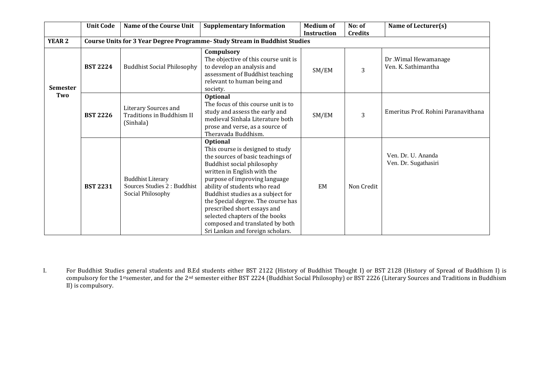|                        | <b>Unit Code</b> | Name of the Course Unit                                                       | <b>Supplementary Information</b>                                                                                                                                                                                                                                                                                                                                                                                                          | Medium of<br><b>Instruction</b> | No: of<br><b>Credits</b> | Name of Lecturer(s)                         |
|------------------------|------------------|-------------------------------------------------------------------------------|-------------------------------------------------------------------------------------------------------------------------------------------------------------------------------------------------------------------------------------------------------------------------------------------------------------------------------------------------------------------------------------------------------------------------------------------|---------------------------------|--------------------------|---------------------------------------------|
| <b>YEAR 2</b>          |                  |                                                                               | <b>Course Units for 3 Year Degree Programme- Study Stream in Buddhist Studies</b>                                                                                                                                                                                                                                                                                                                                                         |                                 |                          |                                             |
| <b>Semester</b><br>Two | <b>BST 2224</b>  | <b>Buddhist Social Philosophy</b>                                             | Compulsory<br>The objective of this course unit is<br>to develop an analysis and<br>assessment of Buddhist teaching<br>relevant to human being and<br>society.                                                                                                                                                                                                                                                                            | SM/EM                           | 3                        | Dr .Wimal Hewamanage<br>Ven. K. Sathimantha |
|                        | <b>BST 2226</b>  | Literary Sources and<br>Traditions in Buddhism II<br>(Sinhala)                | <b>Optional</b><br>The focus of this course unit is to<br>study and assess the early and<br>medieval Sinhala Literature both<br>prose and verse, as a source of<br>Theravada Buddhism.                                                                                                                                                                                                                                                    | SM/EM                           | 3                        | Emeritus Prof. Rohini Paranavithana         |
|                        | <b>BST 2231</b>  | <b>Buddhist Literary</b><br>Sources Studies 2 : Buddhist<br>Social Philosophy | <b>Optional</b><br>This course is designed to study<br>the sources of basic teachings of<br>Buddhist social philosophy<br>written in English with the<br>purpose of improving language<br>ability of students who read<br>Buddhist studies as a subject for<br>the Special degree. The course has<br>prescribed short essays and<br>selected chapters of the books<br>composed and translated by both<br>Sri Lankan and foreign scholars. | EM                              | Non Credit               | Ven. Dr. U. Ananda<br>Ven. Dr. Sugathasiri  |

I. For Buddhist Studies general students and B.Ed students either BST 2122 (History of Buddhist Thought I) or BST 2128 (History of Spread of Buddhism I) is compulsory for the 1<sup>st</sup>semester, and for the 2<sup>nd</sup> semester either BST 2224 (Buddhist Social Philosophy) or BST 2226 (Literary Sources and Traditions in Buddhism II) is compulsory.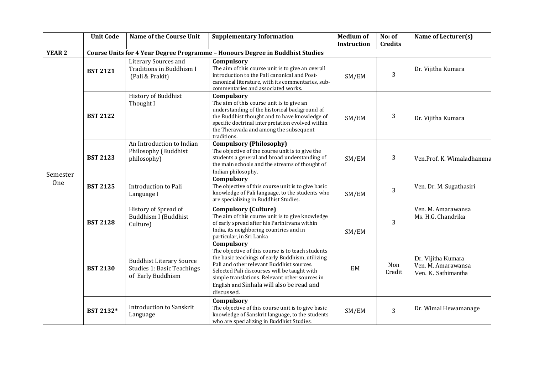|               | <b>Unit Code</b> | <b>Name of the Course Unit</b>                                                            | <b>Supplementary Information</b>                                                                                                                                                                                                                                                                                              | <b>Medium of</b><br><b>Instruction</b> | No: of<br><b>Credits</b> | Name of Lecturer(s)                                             |
|---------------|------------------|-------------------------------------------------------------------------------------------|-------------------------------------------------------------------------------------------------------------------------------------------------------------------------------------------------------------------------------------------------------------------------------------------------------------------------------|----------------------------------------|--------------------------|-----------------------------------------------------------------|
| <b>YEAR 2</b> |                  |                                                                                           | Course Units for 4 Year Degree Programme - Honours Degree in Buddhist Studies                                                                                                                                                                                                                                                 |                                        |                          |                                                                 |
| Semester      | <b>BST 2121</b>  | Literary Sources and<br>Traditions in Buddhism I<br>(Pali & Prakit)                       | Compulsory<br>The aim of this course unit is to give an overall<br>introduction to the Pali canonical and Post-<br>canonical literature, with its commentaries, sub-<br>commentaries and associated works.                                                                                                                    | SM/EM                                  | 3                        | Dr. Vijitha Kumara                                              |
|               | <b>BST 2122</b>  | History of Buddhist<br>Thought I                                                          | Compulsory<br>The aim of this course unit is to give an<br>understanding of the historical background of<br>the Buddhist thought and to have knowledge of<br>specific doctrinal interpretation evolved within<br>the Theravada and among the subsequent<br>traditions.                                                        | SM/EM                                  | 3                        | Dr. Vijitha Kumara                                              |
|               | <b>BST 2123</b>  | An Introduction to Indian<br>Philosophy (Buddhist<br>philosophy)                          | <b>Compulsory (Philosophy)</b><br>The objective of the course unit is to give the<br>students a general and broad understanding of<br>the main schools and the streams of thought of<br>Indian philosophy.                                                                                                                    | SM/EM                                  | 3                        | Ven.Prof. K. Wimaladhamma                                       |
| One           | <b>BST 2125</b>  | Introduction to Pali<br>Language I                                                        | Compulsory<br>The objective of this course unit is to give basic<br>knowledge of Pali language, to the students who<br>are specializing in Buddhist Studies.                                                                                                                                                                  | SM/EM                                  | 3                        | Ven. Dr. M. Sugathasiri                                         |
|               | <b>BST 2128</b>  | History of Spread of<br>Buddhism I (Buddhist<br>Culture)                                  | <b>Compulsory (Culture)</b><br>The aim of this course unit is to give knowledge<br>of early spread after his Parinirvana within<br>India, its neighboring countries and in<br>particular, in Sri Lanka                                                                                                                        | SM/EM                                  | 3                        | Ven. M. Amarawansa<br>Ms. H.G. Chandrika                        |
|               | <b>BST 2130</b>  | <b>Buddhist Literary Source</b><br><b>Studies 1: Basic Teachings</b><br>of Early Buddhism | Compulsory<br>The objective of this course is to teach students<br>the basic teachings of early Buddhism, utilizing<br>Pali and other relevant Buddhist sources.<br>Selected Pali discourses will be taught with<br>simple translations. Relevant other sources in<br>English and Sinhala will also be read and<br>discussed. | EM                                     | Non<br>Credit            | Dr. Vijitha Kumara<br>Ven. M. Amarawansa<br>Ven. K. Sathimantha |
|               | BST 2132*        | <b>Introduction to Sanskrit</b><br>Language                                               | Compulsory<br>The objective of this course unit is to give basic<br>knowledge of Sanskrit language, to the students<br>who are specializing in Buddhist Studies.                                                                                                                                                              | SM/EM                                  | 3                        | Dr. Wimal Hewamanage                                            |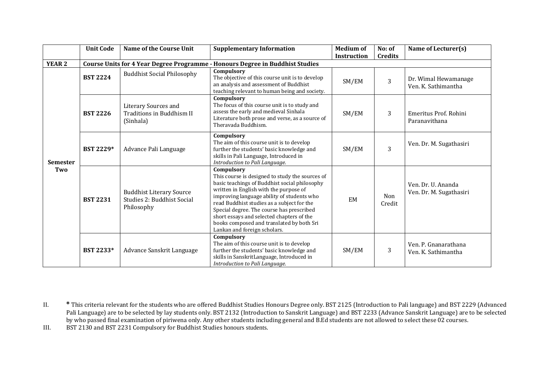|                        | <b>Unit Code</b> | <b>Name of the Course Unit</b>                                              | <b>Supplementary Information</b>                                                                                                                                                                                                                                                                                                                                                                                            | <b>Medium of</b><br><b>Instruction</b> | No: of<br><b>Credits</b> | Name of Lecturer(s)                           |
|------------------------|------------------|-----------------------------------------------------------------------------|-----------------------------------------------------------------------------------------------------------------------------------------------------------------------------------------------------------------------------------------------------------------------------------------------------------------------------------------------------------------------------------------------------------------------------|----------------------------------------|--------------------------|-----------------------------------------------|
| <b>YEAR 2</b>          |                  |                                                                             | Course Units for 4 Year Degree Programme - Honours Degree in Buddhist Studies                                                                                                                                                                                                                                                                                                                                               |                                        |                          |                                               |
|                        | <b>BST 2224</b>  | <b>Buddhist Social Philosophy</b>                                           | Compulsory<br>The objective of this course unit is to develop<br>an analysis and assessment of Buddhist<br>teaching relevant to human being and society.                                                                                                                                                                                                                                                                    | SM/EM                                  | 3                        | Dr. Wimal Hewamanage<br>Ven. K. Sathimantha   |
| <b>Semester</b><br>Two | <b>BST 2226</b>  | Literary Sources and<br>Traditions in Buddhism II<br>(Sinhala)              | Compulsory<br>The focus of this course unit is to study and<br>assess the early and medieval Sinhala<br>Literature both prose and verse, as a source of<br>Theravada Buddhism.                                                                                                                                                                                                                                              | SM/EM                                  | 3                        | Emeritus Prof. Rohini<br>Paranavithana        |
|                        | <b>BST 2229*</b> | Advance Pali Language                                                       | Compulsory<br>The aim of this course unit is to develop<br>further the students' basic knowledge and<br>skills in Pali Language, Introduced in<br>Introduction to Pali Language.                                                                                                                                                                                                                                            | SM/EM                                  | 3                        | Ven. Dr. M. Sugathasiri                       |
|                        | <b>BST 2231</b>  | <b>Buddhist Literary Source</b><br>Studies 2: Buddhist Social<br>Philosophy | Compulsory<br>This course is designed to study the sources of<br>basic teachings of Buddhist social philosophy<br>written in English with the purpose of<br>improving language ability of students who<br>read Buddhist studies as a subject for the<br>Special degree. The course has prescribed<br>short essays and selected chapters of the<br>books composed and translated by both Sri<br>Lankan and foreign scholars. | EM                                     | Non<br>Credit            | Ven. Dr. U. Ananda<br>Ven. Dr. M. Sugathasiri |
|                        | BST 2233*        | Advance Sanskrit Language                                                   | Compulsory<br>The aim of this course unit is to develop<br>further the students' basic knowledge and<br>skills in SanskritLanguage, Introduced in<br>Introduction to Pali Language.                                                                                                                                                                                                                                         | SM/EM                                  | 3                        | Ven. P. Gnanarathana<br>Ven. K. Sathimantha   |

II. **\*** This criteria relevant for the students who are offered Buddhist Studies Honours Degree only. BST 2125 (Introduction to Pali language) and BST 2229 (Advanced Pali Language) are to be selected by lay students only. BST 2132 (Introduction to Sanskrit Language) and BST 2233 (Advance Sanskrit Language) are to be selected by who passed final examination of piriwena only. Any other students including general and B.Ed students are not allowed to select these 02 courses.

III. BST 2130 and BST 2231 Compulsory for Buddhist Studies honours students.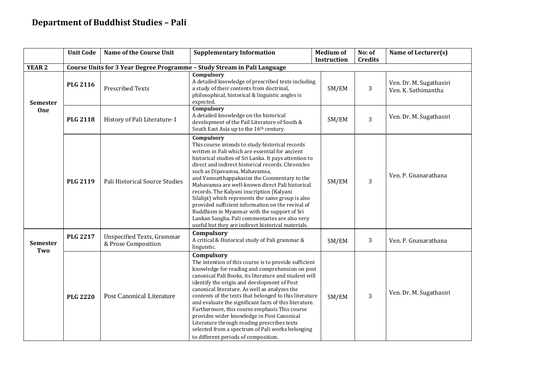# **Department of Buddhist Studies – Pali**

|                        | <b>Unit Code</b> | <b>Name of the Course Unit</b>                           | <b>Supplementary Information</b>                                                                                                                                                                                                                                                                                                                                                                                                                                                                                                                                                                                                                                                  | <b>Medium of</b><br><b>Instruction</b> | No: of<br><b>Credits</b> | Name of Lecturer(s)                            |
|------------------------|------------------|----------------------------------------------------------|-----------------------------------------------------------------------------------------------------------------------------------------------------------------------------------------------------------------------------------------------------------------------------------------------------------------------------------------------------------------------------------------------------------------------------------------------------------------------------------------------------------------------------------------------------------------------------------------------------------------------------------------------------------------------------------|----------------------------------------|--------------------------|------------------------------------------------|
| <b>YEAR 2</b>          |                  |                                                          | Course Units for 3 Year Degree Programme - Study Stream in Pali Language                                                                                                                                                                                                                                                                                                                                                                                                                                                                                                                                                                                                          |                                        |                          |                                                |
| <b>Semester</b>        | <b>PLG 2116</b>  | <b>Prescribed Texts</b>                                  | Compulsory<br>A detailed knowledge of prescribed texts including<br>a study of their contents from doctrinal,<br>philosophical, historical & linguistic angles is<br>expected.                                                                                                                                                                                                                                                                                                                                                                                                                                                                                                    | SM/EM                                  | 3                        | Ven. Dr. M. Sugathasiri<br>Ven. K. Sathimantha |
| One                    | <b>PLG 2118</b>  | History of Pali Literature-1                             | Compulsory<br>A detailed knowledge on the historical<br>development of the Pail Literature of South &<br>South East Asia up to the 16th century.                                                                                                                                                                                                                                                                                                                                                                                                                                                                                                                                  | SM/EM                                  | 3                        | Ven. Dr. M. Sugathasiri                        |
|                        | <b>PLG 2119</b>  | Pali Historical Source Studies                           | Compulsory<br>This course intends to study historical records<br>written in Pali which are essential for ancient<br>historical studies of Sri Lanka. It pays attention to<br>direct and indirect historical records. Chronicles<br>such as Dipavamsa, Mahavamsa,<br>and Vamsatthappakasini the Commentary to the<br>Mahavamsa are well-known direct Pali historical<br>records. The Kalyani inscription (Kalyani<br>Silalipi) which represents the same group is also<br>provided sufficient information on the revival of<br>Buddhism in Myanmar with the support of Sri<br>Lankan Sangha. Pali commentaries are also very<br>useful but they are indirect historical materials. | SM/EM                                  | 3                        | Ven. P. Gnanarathana                           |
| <b>Semester</b><br>Two | <b>PLG 2217</b>  | <b>Unspecified Texts, Grammar</b><br>& Prose Composition | Compulsory<br>A critical & Historical study of Pali grammar &<br>linguistic.                                                                                                                                                                                                                                                                                                                                                                                                                                                                                                                                                                                                      | SM/EM                                  | 3                        | Ven. P. Gnanarathana                           |
|                        | <b>PLG 2220</b>  | <b>Post Canonical Literature</b>                         | Compulsory<br>The intention of this course is to provide sufficient<br>knowledge for reading and comprehension on post<br>canonical Pali Books, its literature and student will<br>identify the origin and development of Post<br>canonical literature. As well as analyzes the<br>contents of the texts that belonged to this literature<br>and evaluate the significant facts of this literature.<br>Furthermore, this course emphasis This course<br>provides wider knowledge in Post Canonical<br>Literature through reading prescribes texts<br>selected from a spectrum of Pali works belonging<br>to different periods of composition.                                     | SM/EM                                  | $\overline{3}$           | Ven. Dr. M. Sugathasiri                        |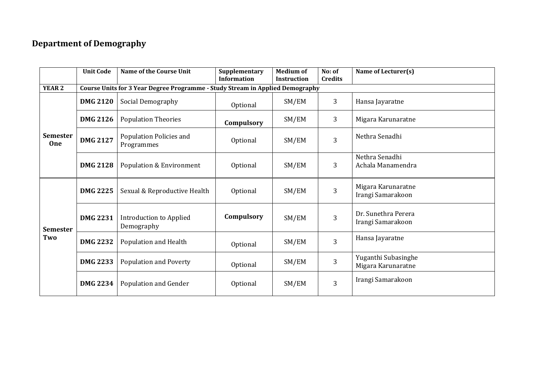# **Department of Demography**

|                               | <b>Unit Code</b>                                                              | <b>Name of the Course Unit</b>               | Supplementary<br><b>Information</b> | <b>Medium of</b><br><b>Instruction</b> | No: of<br><b>Credits</b> | Name of Lecturer(s)                       |  |  |  |  |
|-------------------------------|-------------------------------------------------------------------------------|----------------------------------------------|-------------------------------------|----------------------------------------|--------------------------|-------------------------------------------|--|--|--|--|
| <b>YEAR 2</b>                 | Course Units for 3 Year Degree Programme - Study Stream in Applied Demography |                                              |                                     |                                        |                          |                                           |  |  |  |  |
|                               | <b>DMG 2120</b>                                                               | Social Demography                            | Optional                            | SM/EM                                  | 3                        | Hansa Jayaratne                           |  |  |  |  |
|                               | <b>DMG 2126</b>                                                               | <b>Population Theories</b>                   | Compulsory                          | SM/EM                                  | 3                        | Migara Karunaratne                        |  |  |  |  |
| <b>Semester</b><br><b>One</b> | <b>DMG 2127</b>                                                               | Population Policies and<br>Programmes        | Optional                            | SM/EM                                  | 3                        | Nethra Senadhi                            |  |  |  |  |
|                               | <b>DMG 2128</b>                                                               | <b>Population &amp; Environment</b>          | Optional                            | SM/EM                                  | 3                        | Nethra Senadhi<br>Achala Manamendra       |  |  |  |  |
| <b>Semester</b>               | <b>DMG 2225</b>                                                               | Sexual & Reproductive Health                 | Optional                            | SM/EM                                  | 3                        | Migara Karunaratne<br>Irangi Samarakoon   |  |  |  |  |
|                               | <b>DMG 2231</b>                                                               | <b>Introduction to Applied</b><br>Demography | Compulsory                          | SM/EM                                  | 3                        | Dr. Sunethra Perera<br>Irangi Samarakoon  |  |  |  |  |
| Two                           | <b>DMG 2232</b>                                                               | Population and Health                        | Optional                            | SM/EM                                  | 3                        | Hansa Jayaratne                           |  |  |  |  |
|                               | <b>DMG 2233</b>                                                               | <b>Population and Poverty</b>                | Optional                            | SM/EM                                  | 3                        | Yuganthi Subasinghe<br>Migara Karunaratne |  |  |  |  |
|                               | <b>DMG 2234</b>                                                               | Population and Gender                        | Optional                            | SM/EM                                  | 3                        | Irangi Samarakoon                         |  |  |  |  |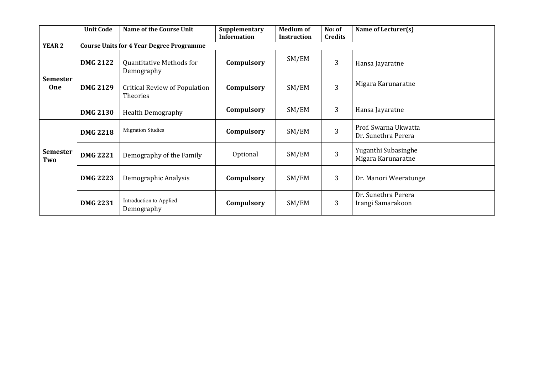|                               | <b>Unit Code</b> | <b>Name of the Course Unit</b>                  | Supplementary<br><b>Information</b> | <b>Medium of</b><br><b>Instruction</b> | No: of<br><b>Credits</b> | Name of Lecturer(s)                         |
|-------------------------------|------------------|-------------------------------------------------|-------------------------------------|----------------------------------------|--------------------------|---------------------------------------------|
| <b>YEAR 2</b>                 |                  | <b>Course Units for 4 Year Degree Programme</b> |                                     |                                        |                          |                                             |
|                               | <b>DMG 2122</b>  | Quantitative Methods for<br>Demography          | Compulsory                          | SM/EM                                  | 3                        | Hansa Jayaratne                             |
| <b>Semester</b><br><b>One</b> | <b>DMG 2129</b>  | Critical Review of Population<br>Theories       | Compulsory                          | SM/EM                                  | 3                        | Migara Karunaratne                          |
|                               | <b>DMG 2130</b>  | <b>Health Demography</b>                        | Compulsory                          | SM/EM                                  | 3                        | Hansa Jayaratne                             |
|                               | <b>DMG 2218</b>  | <b>Migration Studies</b>                        | Compulsory                          | SM/EM                                  | 3                        | Prof. Swarna Ukwatta<br>Dr. Sunethra Perera |
| <b>Semester</b><br>Two        | <b>DMG 2221</b>  | Demography of the Family                        | Optional                            | SM/EM                                  | 3                        | Yuganthi Subasinghe<br>Migara Karunaratne   |
|                               | <b>DMG 2223</b>  | Demographic Analysis                            | Compulsory                          | SM/EM                                  | 3                        | Dr. Manori Weeratunge                       |
|                               | <b>DMG 2231</b>  | Introduction to Applied<br>Demography           | Compulsory                          | SM/EM                                  | 3                        | Dr. Sunethra Perera<br>Irangi Samarakoon    |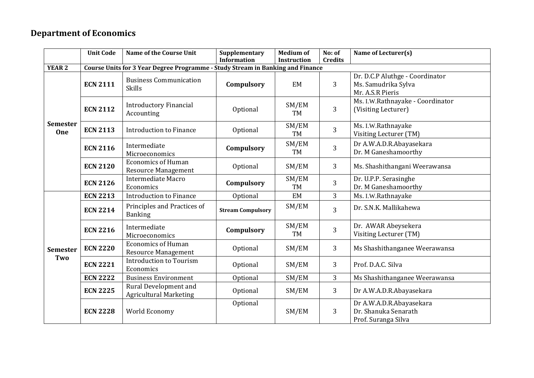# **Department of Economics**

|                        | <b>Unit Code</b> | Name of the Course Unit                                                        | Supplementary            | <b>Medium of</b>   | No: of         | Name of Lecturer(s)                                                     |
|------------------------|------------------|--------------------------------------------------------------------------------|--------------------------|--------------------|----------------|-------------------------------------------------------------------------|
|                        |                  |                                                                                | <b>Information</b>       | Instruction        | <b>Credits</b> |                                                                         |
| <b>YEAR 2</b>          |                  | Course Units for 3 Year Degree Programme - Study Stream in Banking and Finance |                          |                    |                |                                                                         |
|                        |                  | <b>Business Communication</b>                                                  |                          |                    |                | Dr. D.C.P Aluthge - Coordinator                                         |
|                        | <b>ECN 2111</b>  | <b>Skills</b>                                                                  | Compulsory               | EM                 | 3              | Ms. Samudrika Sylva                                                     |
|                        |                  |                                                                                |                          |                    |                | Mr. A.S.R Pieris                                                        |
|                        | <b>ECN 2112</b>  | <b>Introductory Financial</b><br>Accounting                                    | Optional                 | SM/EM<br><b>TM</b> | 3              | Ms. I.W.Rathnayake - Coordinator<br>(Visiting Lecturer)                 |
| <b>Semester</b><br>One | <b>ECN 2113</b>  | <b>Introduction to Finance</b>                                                 | Optional                 | SM/EM<br><b>TM</b> | 3              | Ms. I.W.Rathnayake<br>Visiting Lecturer (TM)                            |
|                        | <b>ECN 2116</b>  | Intermediate<br>Microeconomics                                                 | Compulsory               | SM/EM<br><b>TM</b> | 3              | Dr A.W.A.D.R.Abayasekara<br>Dr. M Ganeshamoorthy                        |
|                        | <b>ECN 2120</b>  | <b>Economics of Human</b><br><b>Resource Management</b>                        | Optional                 | SM/EM              | 3              | Ms. Shashithangani Weerawansa                                           |
|                        | <b>ECN 2126</b>  | Intermediate Macro<br>Economics                                                | Compulsory               | SM/EM<br>TM        | 3              | Dr. U.P.P. Serasinghe<br>Dr. M Ganeshamoorthy                           |
|                        | <b>ECN 2213</b>  | <b>Introduction to Finance</b>                                                 | Optional                 | EM                 | 3              | Ms. I.W.Rathnayake                                                      |
|                        | <b>ECN 2214</b>  | Principles and Practices of<br><b>Banking</b>                                  | <b>Stream Compulsory</b> | SM/EM              | 3              | Dr. S.N.K. Mallikahewa                                                  |
|                        | <b>ECN 2216</b>  | Intermediate<br>Microeconomics                                                 | Compulsory               | SM/EM<br><b>TM</b> | 3              | Dr. AWAR Abeysekera<br>Visiting Lecturer (TM)                           |
| <b>Semester</b>        | <b>ECN 2220</b>  | <b>Economics of Human</b><br><b>Resource Management</b>                        | Optional                 | SM/EM              | 3              | Ms Shashithanganee Weerawansa                                           |
| Two                    | <b>ECN 2221</b>  | <b>Introduction to Tourism</b><br>Economics                                    | Optional                 | SM/EM              | 3              | Prof. D.A.C. Silva                                                      |
|                        | <b>ECN 2222</b>  | <b>Business Environment</b>                                                    | Optional                 | SM/EM              | 3              | Ms Shashithanganee Weerawansa                                           |
|                        | <b>ECN 2225</b>  | Rural Development and<br><b>Agricultural Marketing</b>                         | Optional                 | SM/EM              | 3              | Dr A.W.A.D.R.Abayasekara                                                |
|                        | <b>ECN 2228</b>  | World Economy                                                                  | Optional                 | SM/EM              | 3              | Dr A.W.A.D.R.Abayasekara<br>Dr. Shanuka Senarath<br>Prof. Suranga Silva |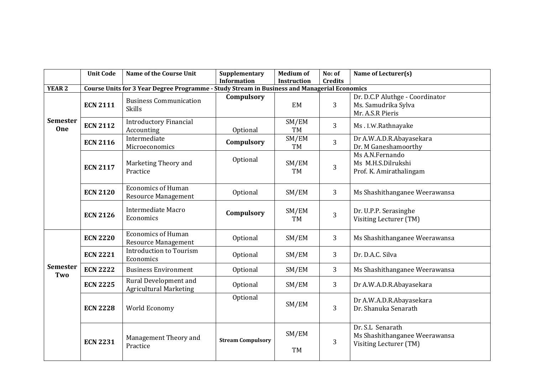|                               | <b>Unit Code</b> | <b>Name of the Course Unit</b>                                                               | Supplementary<br><b>Information</b> | <b>Medium of</b><br><b>Instruction</b> | No: of<br><b>Credits</b> | Name of Lecturer(s)                                                         |
|-------------------------------|------------------|----------------------------------------------------------------------------------------------|-------------------------------------|----------------------------------------|--------------------------|-----------------------------------------------------------------------------|
| <b>YEAR 2</b>                 |                  | Course Units for 3 Year Degree Programme - Study Stream in Business and Managerial Economics |                                     |                                        |                          |                                                                             |
|                               | <b>ECN 2111</b>  | <b>Business Communication</b><br><b>Skills</b>                                               | Compulsory                          | EM                                     | 3                        | Dr. D.C.P Aluthge - Coordinator<br>Ms. Samudrika Sylva<br>Mr. A.S.R Pieris  |
| <b>Semester</b><br><b>One</b> | <b>ECN 2112</b>  | <b>Introductory Financial</b><br>Accounting                                                  | Optional                            | SM/EM<br><b>TM</b>                     | 3                        | Ms.I.W.Rathnayake                                                           |
|                               | <b>ECN 2116</b>  | Intermediate<br>Microeconomics                                                               | Compulsory                          | $\overline{\text{SM}}/\text{EM}$<br>TM | $\overline{3}$           | Dr A.W.A.D.R.Abayasekara<br>Dr. M Ganeshamoorthy                            |
|                               | <b>ECN 2117</b>  | Marketing Theory and<br>Practice                                                             | Optional                            | SM/EM<br>TM                            | 3                        | Ms A.N.Fernando<br>Ms M.H.S.Dilrukshi<br>Prof. K. Amirathalingam            |
|                               | <b>ECN 2120</b>  | <b>Economics of Human</b><br><b>Resource Management</b>                                      | Optional                            | SM/EM                                  | 3                        | Ms Shashithanganee Weerawansa                                               |
|                               | <b>ECN 2126</b>  | <b>Intermediate Macro</b><br>Economics                                                       | Compulsory                          | SM/EM<br><b>TM</b>                     | 3                        | Dr. U.P.P. Serasinghe<br>Visiting Lecturer (TM)                             |
|                               | <b>ECN 2220</b>  | <b>Economics of Human</b><br><b>Resource Management</b>                                      | Optional                            | SM/EM                                  | 3                        | Ms Shashithanganee Weerawansa                                               |
|                               | <b>ECN 2221</b>  | <b>Introduction to Tourism</b><br>Economics                                                  | Optional                            | SM/EM                                  | 3                        | Dr. D.A.C. Silva                                                            |
| <b>Semester</b><br>Two        | <b>ECN 2222</b>  | <b>Business Environment</b>                                                                  | Optional                            | SM/EM                                  | 3                        | Ms Shashithanganee Weerawansa                                               |
|                               | <b>ECN 2225</b>  | Rural Development and<br><b>Agricultural Marketing</b>                                       | Optional                            | SM/EM                                  | 3                        | Dr A.W.A.D.R.Abayasekara                                                    |
|                               | <b>ECN 2228</b>  | World Economy                                                                                | Optional                            | SM/EM                                  | 3                        | Dr A.W.A.D.R.Abayasekara<br>Dr. Shanuka Senarath                            |
|                               | <b>ECN 2231</b>  | Management Theory and<br>Practice                                                            | <b>Stream Compulsory</b>            | SM/EM<br>TM                            | 3                        | Dr. S.L Senarath<br>Ms Shashithanganee Weerawansa<br>Visiting Lecturer (TM) |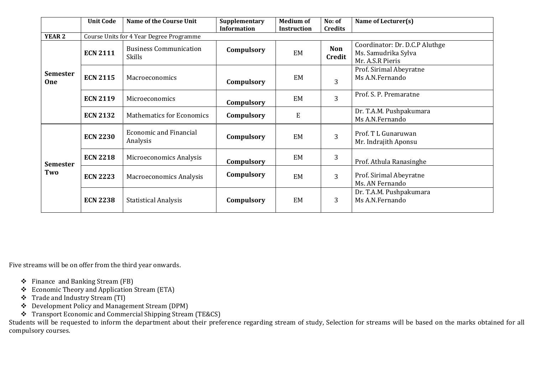|                        | <b>Unit Code</b> | <b>Name of the Course Unit</b>                 | Supplementary<br><b>Information</b> | <b>Medium of</b><br><b>Instruction</b> | No: of<br>Credits    | Name of Lecturer(s)                                                       |
|------------------------|------------------|------------------------------------------------|-------------------------------------|----------------------------------------|----------------------|---------------------------------------------------------------------------|
| <b>YEAR 2</b>          |                  | Course Units for 4 Year Degree Programme       |                                     |                                        |                      |                                                                           |
| <b>Semester</b><br>One | <b>ECN 2111</b>  | <b>Business Communication</b><br><b>Skills</b> | Compulsory                          | EM                                     | <b>Non</b><br>Credit | Coordinator: Dr. D.C.P Aluthge<br>Ms. Samudrika Sylva<br>Mr. A.S.R Pieris |
|                        | <b>ECN 2115</b>  | Macroeconomics                                 | Compulsory                          | EM                                     | 3                    | Prof. Sirimal Abeyratne<br>Ms A.N.Fernando                                |
|                        | <b>ECN 2119</b>  | Microeconomics                                 | Compulsory                          | EM                                     | 3                    | Prof. S. P. Premaratne                                                    |
|                        | <b>ECN 2132</b>  | <b>Mathematics for Economics</b>               | Compulsory                          | $\mathbf E$                            |                      | Dr. T.A.M. Pushpakumara<br>Ms A.N.Fernando                                |
|                        | <b>ECN 2230</b>  | <b>Economic and Financial</b><br>Analysis      | Compulsory                          | EM                                     | 3                    | Prof. T L Gunaruwan<br>Mr. Indrajith Aponsu                               |
| <b>Semester</b>        | <b>ECN 2218</b>  | Microeconomics Analysis                        | Compulsory                          | EM                                     | 3                    | Prof. Athula Ranasinghe                                                   |
| Two                    | <b>ECN 2223</b>  | Macroeconomics Analysis                        | Compulsory                          | EM                                     | 3                    | Prof. Sirimal Abeyratne<br>Ms. AN Fernando                                |
|                        | <b>ECN 2238</b>  | <b>Statistical Analysis</b>                    | Compulsory                          | EM                                     | 3                    | Dr. T.A.M. Pushpakumara<br>Ms A.N.Fernando                                |

Five streams will be on offer from the third year onwards.

- ❖ Finance and Banking Stream (FB)
- ❖ Economic Theory and Application Stream (ETA)
- ❖ Trade and Industry Stream (TI)
- ❖ Development Policy and Management Stream (DPM)
- ❖ Transport Economic and Commercial Shipping Stream (TE&CS)

Students will be requested to inform the department about their preference regarding stream of study, Selection for streams will be based on the marks obtained for all compulsory courses.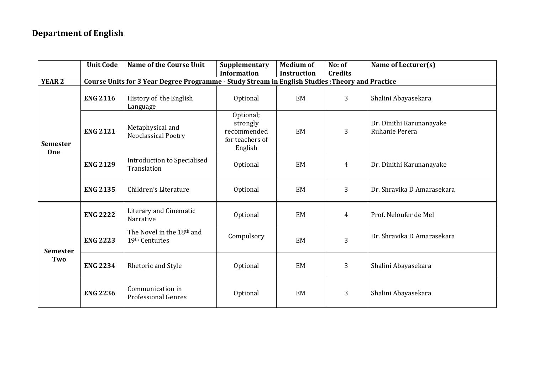# **Department of English**

|                        | <b>Unit Code</b> | <b>Name of the Course Unit</b>                                                                   | Supplementary<br><b>Information</b>                                | <b>Medium of</b><br><b>Instruction</b> | No: of<br><b>Credits</b> | Name of Lecturer(s)                        |
|------------------------|------------------|--------------------------------------------------------------------------------------------------|--------------------------------------------------------------------|----------------------------------------|--------------------------|--------------------------------------------|
| <b>YEAR 2</b>          |                  | Course Units for 3 Year Degree Programme - Study Stream in English Studies : Theory and Practice |                                                                    |                                        |                          |                                            |
| <b>Semester</b><br>One | <b>ENG 2116</b>  | History of the English<br>Language                                                               | Optional                                                           | EM                                     | 3                        | Shalini Abayasekara                        |
|                        | <b>ENG 2121</b>  | Metaphysical and<br><b>Neoclassical Poetry</b>                                                   | Optional;<br>strongly<br>recommended<br>for teachers of<br>English | <b>EM</b>                              | 3                        | Dr. Dinithi Karunanayake<br>Ruhanie Perera |
|                        | <b>ENG 2129</b>  | <b>Introduction to Specialised</b><br>Translation                                                | Optional                                                           | EM                                     | 4                        | Dr. Dinithi Karunanayake                   |
|                        | <b>ENG 2135</b>  | Children's Literature                                                                            | Optional                                                           | EM                                     | 3                        | Dr. Shravika D Amarasekara                 |
|                        | <b>ENG 2222</b>  | Literary and Cinematic<br>Narrative                                                              | Optional                                                           | EM                                     | $\overline{4}$           | Prof. Neloufer de Mel                      |
| <b>Semester</b>        | <b>ENG 2223</b>  | The Novel in the 18th and<br>19th Centuries                                                      | Compulsory                                                         | EM                                     | 3                        | Dr. Shravika D Amarasekara                 |
| Two                    | <b>ENG 2234</b>  | Rhetoric and Style                                                                               | Optional                                                           | EM                                     | 3                        | Shalini Abayasekara                        |
|                        | <b>ENG 2236</b>  | Communication in<br><b>Professional Genres</b>                                                   | Optional                                                           | EM                                     | 3                        | Shalini Abayasekara                        |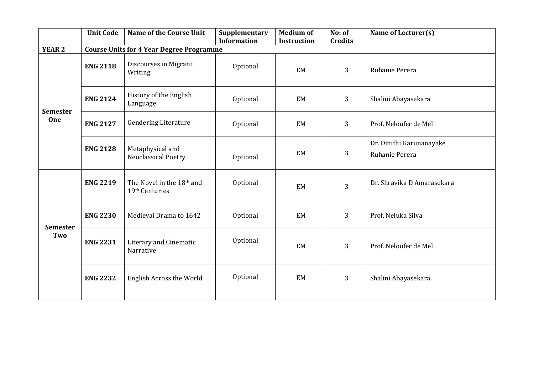| <b>Unit Code</b> | <b>Name of the Course Unit</b>                 | Supplementary | <b>Medium of</b>                                                      | No: of      | Name of Lecturer(s)                        |
|------------------|------------------------------------------------|---------------|-----------------------------------------------------------------------|-------------|--------------------------------------------|
|                  |                                                |               |                                                                       |             |                                            |
| <b>ENG 2118</b>  | Discourses in Migrant<br>Writing               | Optional      | EM                                                                    | 3           | Ruhanie Perera                             |
| <b>ENG 2124</b>  | History of the English<br>Language             | Optional      | EM                                                                    | 3           | Shalini Abayasekara                        |
| <b>ENG 2127</b>  | <b>Gendering Literature</b>                    | Optional      | EM                                                                    | 3           | Prof. Neloufer de Mel                      |
| <b>ENG 2128</b>  | Metaphysical and<br><b>Neoclassical Poetry</b> | Optional      | EM                                                                    | 3           | Dr. Dinithi Karunanayake<br>Ruhanie Perera |
| <b>ENG 2219</b>  | The Novel in the 18th and<br>19th Centuries    | Optional      | EM                                                                    | 3           | Dr. Shravika D Amarasekara                 |
| <b>ENG 2230</b>  | Medieval Drama to 1642                         | Optional      | EM                                                                    | 3           | Prof. Neluka Silva                         |
| <b>ENG 2231</b>  | Literary and Cinematic<br>Narrative            | Optional      | EM                                                                    | 3           | Prof. Neloufer de Mel                      |
| <b>ENG 2232</b>  | <b>English Across the World</b>                | Optional      | EM                                                                    | 3           | Shalini Abayasekara                        |
|                  |                                                |               | <b>Information</b><br><b>Course Units for 4 Year Degree Programme</b> | Instruction | <b>Credits</b>                             |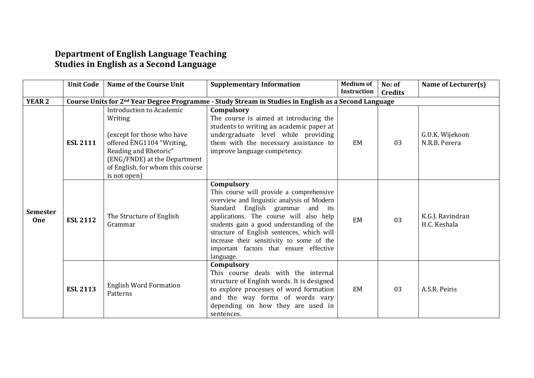#### **Department of English Language Teaching Studies in English as a Second Language**

|                               | <b>Unit Code</b> | <b>Name of the Course Unit</b>                                                                                                                                                                                     | <b>Supplementary Information</b>                                                                                                                                                                                                                                                                                                                                                    | <b>Medium of</b><br><b>Instruction</b> | No: of<br><b>Credits</b> | Name of Lecturer(s)              |
|-------------------------------|------------------|--------------------------------------------------------------------------------------------------------------------------------------------------------------------------------------------------------------------|-------------------------------------------------------------------------------------------------------------------------------------------------------------------------------------------------------------------------------------------------------------------------------------------------------------------------------------------------------------------------------------|----------------------------------------|--------------------------|----------------------------------|
| <b>YEAR 2</b>                 |                  |                                                                                                                                                                                                                    | Course Units for 2 <sup>nd</sup> Year Degree Programme - Study Stream in Studies in English as a Second Language                                                                                                                                                                                                                                                                    |                                        |                          |                                  |
| <b>Semester</b><br><b>One</b> | <b>ESL 2111</b>  | <b>Introduction to Academic</b><br>Writing<br>(except for those who have<br>offered ENG1104 "Writing,<br>Reading and Rhetoric"<br>(ENG/FNDE) at the Department<br>of English, for whom this course<br>is not open) | Compulsory<br>The course is aimed at introducing the<br>students to writing an academic paper at<br>undergraduate level while providing<br>them with the necessary assistance to<br>improve language competency.                                                                                                                                                                    | EM                                     | 03                       | G.U.K. Wijekoon<br>N.R.B. Perera |
|                               | <b>ESL 2112</b>  | The Structure of English<br>Grammar                                                                                                                                                                                | Compulsory<br>This course will provide a comprehensive<br>overview and linguistic analysis of Modern<br>Standard English grammar and its<br>applications. The course will also help<br>students gain a good understanding of the<br>structure of English sentences, which will<br>increase their sensitivity to some of the<br>important factors that ensure effective<br>language. | EM                                     | 03                       | K.G.J. Ravindran<br>H.C. Keshala |
|                               | <b>ESL 2113</b>  | <b>English Word Formation</b><br>Patterns                                                                                                                                                                          | Compulsory<br>This course deals with the internal<br>structure of English words. It is designed<br>to explore processes of word formation<br>and the way forms of words vary<br>depending on how they are used in<br>sentences.                                                                                                                                                     | EM                                     | 03                       | A.S.R. Peiris                    |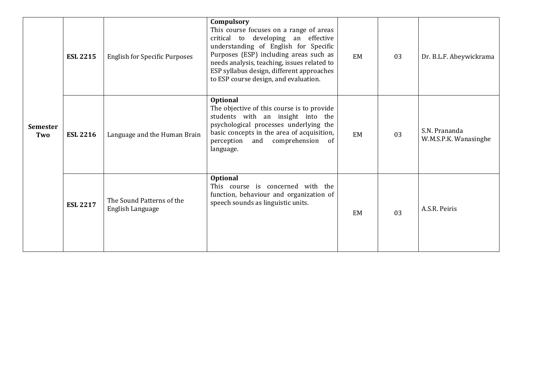| <b>Semester</b><br>Two | <b>ESL 2215</b> | <b>English for Specific Purposes</b>          | Compulsory<br>This course focuses on a range of areas<br>critical to developing an effective<br>understanding of English for Specific<br>Purposes (ESP) including areas such as<br>needs analysis, teaching, issues related to<br>ESP syllabus design, different approaches<br>to ESP course design, and evaluation. | EM | 03 | Dr. B.L.F. Abeywickrama                |
|------------------------|-----------------|-----------------------------------------------|----------------------------------------------------------------------------------------------------------------------------------------------------------------------------------------------------------------------------------------------------------------------------------------------------------------------|----|----|----------------------------------------|
|                        | <b>ESL 2216</b> | Language and the Human Brain                  | <b>Optional</b><br>The objective of this course is to provide<br>students with an insight into the<br>psychological processes underlying the<br>basic concepts in the area of acquisition,<br>and comprehension of<br>perception<br>language.                                                                        | EM | 03 | S.N. Prananda<br>W.M.S.P.K. Wanasinghe |
|                        | <b>ESL 2217</b> | The Sound Patterns of the<br>English Language | <b>Optional</b><br>This course is concerned with the<br>function, behaviour and organization of<br>speech sounds as linguistic units.                                                                                                                                                                                | EM | 03 | A.S.R. Peiris                          |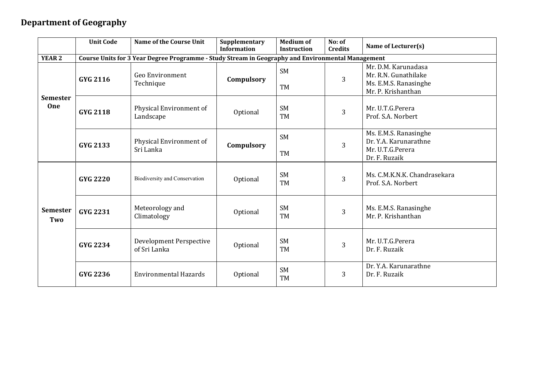#### **Department of Geography**

|                        | <b>Unit Code</b> | Name of the Course Unit                                                                           | Supplementary<br><b>Information</b> | <b>Medium of</b><br><b>Instruction</b> | No: of<br><b>Credits</b> | Name of Lecturer(s)                                                                        |
|------------------------|------------------|---------------------------------------------------------------------------------------------------|-------------------------------------|----------------------------------------|--------------------------|--------------------------------------------------------------------------------------------|
| <b>YEAR 2</b>          |                  | Course Units for 3 Year Degree Programme - Study Stream in Geography and Environmental Management |                                     |                                        |                          |                                                                                            |
| <b>Semester</b><br>One | <b>GYG 2116</b>  | Geo Environment<br>Technique                                                                      | Compulsory                          | <b>SM</b><br><b>TM</b>                 | 3                        | Mr. D.M. Karunadasa<br>Mr. R.N. Gunathilake<br>Ms. E.M.S. Ranasinghe<br>Mr. P. Krishanthan |
|                        | <b>GYG 2118</b>  | Physical Environment of<br>Landscape                                                              | Optional                            | <b>SM</b><br>TM                        | 3                        | Mr. U.T.G.Perera<br>Prof. S.A. Norbert                                                     |
|                        | <b>GYG 2133</b>  | Physical Environment of<br>Sri Lanka                                                              | Compulsory                          | <b>SM</b><br><b>TM</b>                 | 3                        | Ms. E.M.S. Ranasinghe<br>Dr. Y.A. Karunarathne<br>Mr. U.T.G.Perera<br>Dr. F. Ruzaik        |
|                        | <b>GYG 2220</b>  | Biodiversity and Conservation                                                                     | Optional                            | <b>SM</b><br><b>TM</b>                 | 3                        | Ms. C.M.K.N.K. Chandrasekara<br>Prof. S.A. Norbert                                         |
| <b>Semester</b><br>Two | <b>GYG 2231</b>  | Meteorology and<br>Climatology                                                                    | Optional                            | <b>SM</b><br><b>TM</b>                 | 3                        | Ms. E.M.S. Ranasinghe<br>Mr. P. Krishanthan                                                |
|                        | <b>GYG 2234</b>  | <b>Development Perspective</b><br>of Sri Lanka                                                    | Optional                            | <b>SM</b><br><b>TM</b>                 | 3                        | Mr. U.T.G.Perera<br>Dr. F. Ruzaik                                                          |
|                        | <b>GYG 2236</b>  | <b>Environmental Hazards</b>                                                                      | Optional                            | <b>SM</b><br><b>TM</b>                 | 3                        | Dr. Y.A. Karunarathne<br>Dr. F. Ruzaik                                                     |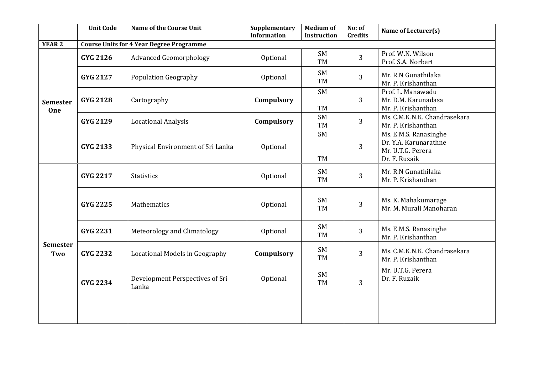|                               | <b>Unit Code</b> | <b>Name of the Course Unit</b>                  | Supplementary<br><b>Information</b> | <b>Medium of</b><br><b>Instruction</b> | No: of<br><b>Credits</b> | Name of Lecturer(s)                                                                  |
|-------------------------------|------------------|-------------------------------------------------|-------------------------------------|----------------------------------------|--------------------------|--------------------------------------------------------------------------------------|
| YEAR 2                        |                  | <b>Course Units for 4 Year Degree Programme</b> |                                     |                                        |                          |                                                                                      |
|                               | GYG 2126         | <b>Advanced Geomorphology</b>                   | Optional                            | <b>SM</b><br>TM                        | 3                        | Prof. W.N. Wilson<br>Prof. S.A. Norbert                                              |
| <b>Semester</b><br><b>One</b> | <b>GYG 2127</b>  | <b>Population Geography</b>                     | Optional                            | <b>SM</b><br>TM                        | 3                        | Mr. R.N Gunathilaka<br>Mr. P. Krishanthan                                            |
|                               | <b>GYG 2128</b>  | Cartography                                     |                                     | <b>SM</b><br><b>TM</b>                 | 3                        | Prof. L. Manawadu<br>Mr. D.M. Karunadasa<br>Mr. P. Krishanthan                       |
|                               | <b>GYG 2129</b>  | <b>Locational Analysis</b>                      | Compulsory                          | SM<br><b>TM</b>                        | 3                        | Ms. C.M.K.N.K. Chandrasekara<br>Mr. P. Krishanthan                                   |
|                               | <b>GYG 2133</b>  | Physical Environment of Sri Lanka               | Optional                            | SM<br><b>TM</b>                        | 3                        | Ms. E.M.S. Ranasinghe<br>Dr. Y.A. Karunarathne<br>Mr. U.T.G. Perera<br>Dr. F. Ruzaik |
|                               | <b>GYG 2217</b>  | <b>Statistics</b>                               | Optional                            | SM<br>TM                               | 3                        | Mr. R.N Gunathilaka<br>Mr. P. Krishanthan                                            |
|                               | <b>GYG 2225</b>  | Mathematics                                     | Optional                            | <b>SM</b><br><b>TM</b>                 | 3                        | Ms. K. Mahakumarage<br>Mr. M. Murali Manoharan                                       |
|                               | <b>GYG 2231</b>  | Meteorology and Climatology                     | Optional                            | SM<br>TM                               | 3                        | Ms. E.M.S. Ranasinghe<br>Mr. P. Krishanthan                                          |
| <b>Semester</b><br>Two        | <b>GYG 2232</b>  | Locational Models in Geography                  | Compulsory                          | SM<br>TM                               | 3                        | Ms. C.M.K.N.K. Chandrasekara<br>Mr. P. Krishanthan                                   |
|                               | <b>GYG 2234</b>  | Development Perspectives of Sri<br>Lanka        | Optional                            | <b>SM</b><br><b>TM</b>                 | $\overline{3}$           | Mr. U.T.G. Perera<br>Dr. F. Ruzaik                                                   |
|                               |                  |                                                 |                                     |                                        |                          |                                                                                      |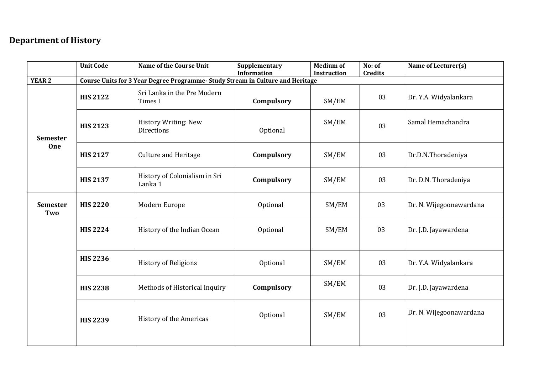#### **Department of History**

|                        | Name of the Course Unit<br><b>Unit Code</b> |                                                                                | Supplementary<br><b>Information</b> | <b>Medium of</b><br>Instruction | No: of<br><b>Credits</b> | Name of Lecturer(s)     |
|------------------------|---------------------------------------------|--------------------------------------------------------------------------------|-------------------------------------|---------------------------------|--------------------------|-------------------------|
| <b>YEAR 2</b>          |                                             | Course Units for 3 Year Degree Programme- Study Stream in Culture and Heritage |                                     |                                 |                          |                         |
|                        | <b>HIS 2122</b>                             | Sri Lanka in the Pre Modern<br>Times I                                         | Compulsory                          | SM/EM                           | 03                       | Dr. Y.A. Widyalankara   |
| <b>Semester</b><br>One | <b>HIS 2123</b>                             | <b>History Writing: New</b><br><b>Directions</b>                               | Optional                            | SM/EM                           | 03                       | Samal Hemachandra       |
|                        | <b>HIS 2127</b>                             | <b>Culture and Heritage</b>                                                    | Compulsory                          | SM/EM                           | 03                       | Dr.D.N.Thoradeniya      |
|                        | <b>HIS 2137</b>                             | History of Colonialism in Sri<br>Lanka 1                                       | Compulsory                          | SM/EM                           | 03                       | Dr. D.N. Thoradeniya    |
| Semester<br>Two        | <b>HIS 2220</b>                             | Modern Europe                                                                  | Optional                            | SM/EM                           | 03                       | Dr. N. Wijegoonawardana |
|                        | <b>HIS 2224</b>                             | History of the Indian Ocean                                                    | Optional                            | SM/EM                           | 03                       | Dr. J.D. Jayawardena    |
|                        | <b>HIS 2236</b>                             | <b>History of Religions</b>                                                    | Optional                            | SM/EM                           | 03                       | Dr. Y.A. Widyalankara   |
|                        | <b>HIS 2238</b>                             | Methods of Historical Inquiry                                                  | Compulsory                          | SM/EM                           | 03                       | Dr. J.D. Jayawardena    |
|                        | <b>HIS 2239</b>                             | History of the Americas                                                        | Optional                            | SM/EM                           | 03                       | Dr. N. Wijegoonawardana |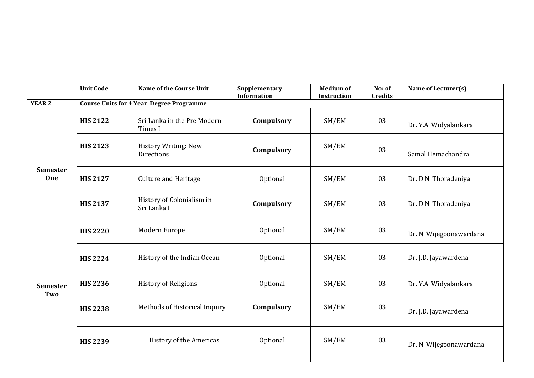|                               | <b>Unit Code</b> | <b>Name of the Course Unit</b>                   | Supplementary<br><b>Information</b> | <b>Medium of</b><br><b>Instruction</b> | No: of<br><b>Credits</b> | Name of Lecturer(s)     |
|-------------------------------|------------------|--------------------------------------------------|-------------------------------------|----------------------------------------|--------------------------|-------------------------|
| <b>YEAR 2</b>                 |                  | <b>Course Units for 4 Year Degree Programme</b>  |                                     |                                        |                          |                         |
|                               | <b>HIS 2122</b>  | Sri Lanka in the Pre Modern<br>Times I           | Compulsory                          | SM/EM                                  | 03                       | Dr. Y.A. Widyalankara   |
| <b>Semester</b><br><b>One</b> | <b>HIS 2123</b>  | <b>History Writing: New</b><br><b>Directions</b> | Compulsory                          | SM/EM                                  | 03                       | Samal Hemachandra       |
|                               | <b>HIS 2127</b>  | <b>Culture and Heritage</b>                      | Optional                            | SM/EM                                  | 03                       | Dr. D.N. Thoradeniya    |
|                               | <b>HIS 2137</b>  | History of Colonialism in<br>Sri Lanka I         | Compulsory                          | SM/EM                                  | 03                       | Dr. D.N. Thoradeniya    |
|                               | <b>HIS 2220</b>  | Modern Europe                                    | Optional                            | SM/EM                                  | 03                       | Dr. N. Wijegoonawardana |
|                               | <b>HIS 2224</b>  | History of the Indian Ocean                      | Optional                            | SM/EM                                  | 03                       | Dr. J.D. Jayawardena    |
| <b>Semester</b><br>Two        | <b>HIS 2236</b>  | <b>History of Religions</b>                      | Optional                            | SM/EM                                  | 03                       | Dr. Y.A. Widyalankara   |
|                               | <b>HIS 2238</b>  | Methods of Historical Inquiry                    | Compulsory                          | SM/EM                                  | 03                       | Dr. J.D. Jayawardena    |
|                               | <b>HIS 2239</b>  | History of the Americas                          | Optional                            | SM/EM                                  | 03                       | Dr. N. Wijegoonawardana |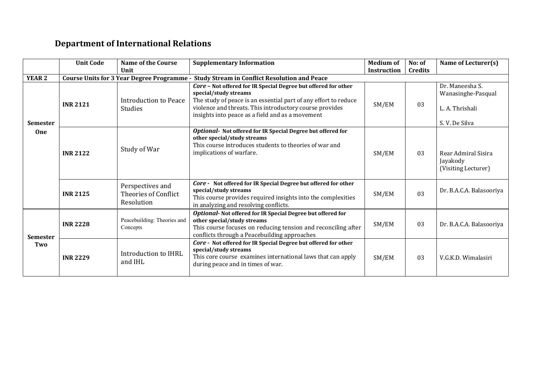# **Department of International Relations**

|                        | <b>Unit Code</b>                                                                                          | <b>Name of the Course</b>                              | <b>Supplementary Information</b>                                                                                                                                                                                                                                          | <b>Medium of</b>   | No: of         | Name of Lecturer(s)                                                       |  |
|------------------------|-----------------------------------------------------------------------------------------------------------|--------------------------------------------------------|---------------------------------------------------------------------------------------------------------------------------------------------------------------------------------------------------------------------------------------------------------------------------|--------------------|----------------|---------------------------------------------------------------------------|--|
|                        |                                                                                                           | Unit                                                   |                                                                                                                                                                                                                                                                           | <b>Instruction</b> | <b>Credits</b> |                                                                           |  |
| <b>YEAR 2</b>          | <b>Course Units for 3 Year Degree Programme -</b><br><b>Study Stream in Conflict Resolution and Peace</b> |                                                        |                                                                                                                                                                                                                                                                           |                    |                |                                                                           |  |
| <b>Semester</b>        | <b>INR 2121</b>                                                                                           | <b>Introduction to Peace</b><br><b>Studies</b>         | Core - Not offered for IR Special Degree but offered for other<br>special/study streams<br>The study of peace is an essential part of any effort to reduce<br>violence and threats. This introductory course provides<br>insights into peace as a field and as a movement | SM/EM              | 03             | Dr. Maneesha S.<br>Wanasinghe-Pasqual<br>L. A. Thrishali<br>S.V. De Silva |  |
| <b>One</b>             | <b>INR 2122</b>                                                                                           | Study of War                                           | Optional- Not offered for IR Special Degree but offered for<br>other special/study streams<br>This course introduces students to theories of war and<br>implications of warfare.                                                                                          | SM/EM              | 03             | Rear Admiral Sisira<br>Jayakody<br>(Visiting Lecturer)                    |  |
|                        | <b>INR 2125</b>                                                                                           | Perspectives and<br>Theories of Conflict<br>Resolution | Core - Not offered for IR Special Degree but offered for other<br>special/study streams<br>This course provides required insights into the complexities<br>in analyzing and resolving conflicts.                                                                          | SM/EM              | 03             | Dr. B.A.C.A. Balasooriya                                                  |  |
| <b>Semester</b><br>Two | <b>INR 2228</b>                                                                                           | Peacebuilding: Theories and<br>Concepts                | Optional- Not offered for IR Special Degree but offered for<br>other special/study streams<br>This course focuses on reducing tension and reconciling after<br>conflicts through a Peacebuilding approaches                                                               | SM/EM              | 03             | Dr. B.A.C.A. Balasooriya                                                  |  |
|                        | <b>INR 2229</b>                                                                                           | Introduction to IHRL<br>and IHL                        | Core - Not offered for IR Special Degree but offered for other<br>special/study streams<br>This core course examines international laws that can apply<br>during peace and in times of war.                                                                               | SM/EM              | 03             | V.G.K.D. Wimalasiri                                                       |  |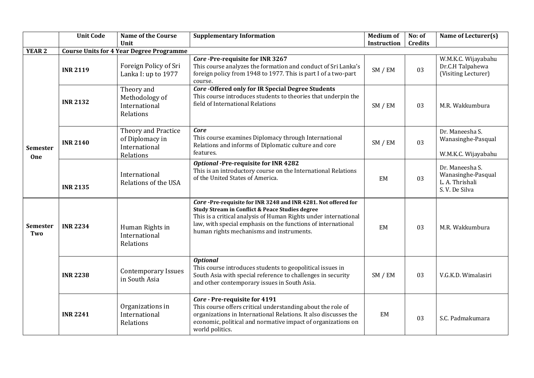|                        | <b>Unit Code</b> | <b>Name of the Course</b><br>Unit                                    | <b>Supplementary Information</b>                                                                                                                                                                                                                                                                | <b>Medium of</b><br>Instruction | No: of<br><b>Credits</b> | Name of Lecturer(s)                                                       |
|------------------------|------------------|----------------------------------------------------------------------|-------------------------------------------------------------------------------------------------------------------------------------------------------------------------------------------------------------------------------------------------------------------------------------------------|---------------------------------|--------------------------|---------------------------------------------------------------------------|
| <b>YEAR 2</b>          |                  | <b>Course Units for 4 Year Degree Programme</b>                      |                                                                                                                                                                                                                                                                                                 |                                 |                          |                                                                           |
|                        | <b>INR 2119</b>  | Foreign Policy of Sri<br>Lanka I: up to 1977                         | Core-Pre-requisite for INR 3267<br>This course analyzes the formation and conduct of Sri Lanka's<br>foreign policy from 1948 to 1977. This is part I of a two-part<br>course.                                                                                                                   | SM / EM                         | 03                       | W.M.K.C. Wijayabahu<br>Dr.C.H Talpahewa<br>(Visiting Lecturer)            |
|                        | <b>INR 2132</b>  | Theory and<br>Methodology of<br>International<br>Relations           | <b>Core-Offered only for IR Special Degree Students</b><br>This course introduces students to theories that underpin the<br>field of International Relations                                                                                                                                    | SM / EM                         | 03                       | M.R. Wakkumbura                                                           |
| <b>Semester</b><br>One | <b>INR 2140</b>  | Theory and Practice<br>of Diplomacy in<br>International<br>Relations | <b>Core</b><br>This course examines Diplomacy through International<br>Relations and informs of Diplomatic culture and core<br>features.                                                                                                                                                        | SM / EM                         | 03                       | Dr. Maneesha S.<br>Wanasinghe-Pasqual<br>W.M.K.C. Wijayabahu              |
|                        | <b>INR 2135</b>  | International<br>Relations of the USA                                | <b>Optional -Pre-requisite for INR 4282</b><br>This is an introductory course on the International Relations<br>of the United States of America.                                                                                                                                                | EM                              | 03                       | Dr. Maneesha S.<br>Wanasinghe-Pasqual<br>L. A. Thrishali<br>S.V. De Silva |
| <b>Semester</b><br>Two | <b>INR 2234</b>  | Human Rights in<br>International<br>Relations                        | Core-Pre-requisite for INR 3248 and INR 4281. Not offered for<br>Study Stream in Conflict & Peace Studies degree<br>This is a critical analysis of Human Rights under international<br>law, with special emphasis on the functions of international<br>human rights mechanisms and instruments. | EM                              | 03                       | M.R. Wakkumbura                                                           |
|                        | <b>INR 2238</b>  | <b>Contemporary Issues</b><br>in South Asia                          | <b>Optional</b><br>This course introduces students to geopolitical issues in<br>South Asia with special reference to challenges in security<br>and other contemporary issues in South Asia.                                                                                                     | SM / EM                         | 03                       | V.G.K.D. Wimalasiri                                                       |
|                        | <b>INR 2241</b>  | Organizations in<br>International<br>Relations                       | Core - Pre-requisite for 4191<br>This course offers critical understanding about the role of<br>organizations in International Relations. It also discusses the<br>economic, political and normative impact of organizations on<br>world politics.                                              | EM                              | 03                       | S.C. Padmakumara                                                          |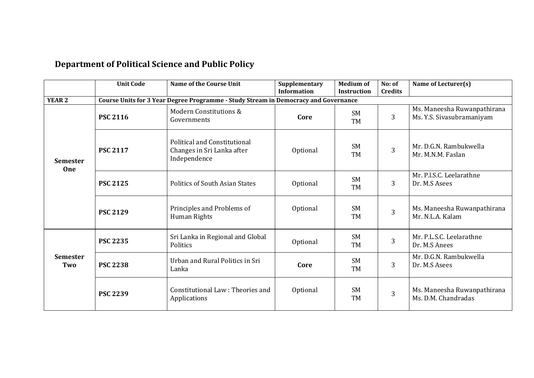|                               | <b>Unit Code</b> | Name of the Course Unit                                                             | Supplementary<br><b>Information</b> | <b>Medium of</b><br><b>Instruction</b> | No: of<br><b>Credits</b> | Name of Lecturer(s)                                      |
|-------------------------------|------------------|-------------------------------------------------------------------------------------|-------------------------------------|----------------------------------------|--------------------------|----------------------------------------------------------|
| <b>YEAR 2</b>                 |                  | Course Units for 3 Year Degree Programme - Study Stream in Democracy and Governance |                                     |                                        |                          |                                                          |
| <b>Semester</b><br><b>One</b> | <b>PSC 2116</b>  | Modern Constitutions &<br>Governments                                               | Core                                | <b>SM</b><br><b>TM</b>                 | 3                        | Ms. Maneesha Ruwanpathirana<br>Ms. Y.S. Sivasubramaniyam |
|                               | <b>PSC 2117</b>  | <b>Political and Constitutional</b><br>Changes in Sri Lanka after<br>Independence   | Optional                            | SM<br><b>TM</b>                        | 3                        | Mr. D.G.N. Rambukwella<br>Mr. M.N.M. Faslan              |
|                               | <b>PSC 2125</b>  | <b>Politics of South Asian States</b>                                               | Optional                            | <b>SM</b><br><b>TM</b>                 | 3                        | Mr. P.I.S.C. Leelarathne<br>Dr. M.S Asees                |
|                               | <b>PSC 2129</b>  | Principles and Problems of<br>Human Rights                                          | Optional                            | <b>SM</b><br><b>TM</b>                 | $\overline{3}$           | Ms. Maneesha Ruwanpathirana<br>Mr. N.L.A. Kalam          |
|                               | <b>PSC 2235</b>  | Sri Lanka in Regional and Global<br>Politics                                        | Optional                            | <b>SM</b><br><b>TM</b>                 | 3                        | Mr. P.L.S.C. Leelarathne<br>Dr. M.S Anees                |
| <b>Semester</b><br>Two        | <b>PSC 2238</b>  | Urban and Rural Politics in Sri<br>Lanka                                            | Core                                | <b>SM</b><br><b>TM</b>                 | 3                        | Mr. D.G.N. Rambukwella<br>Dr. M.S Asees                  |
|                               | <b>PSC 2239</b>  | Constitutional Law: Theories and<br>Applications                                    | Optional                            | <b>SM</b><br><b>TM</b>                 | 3                        | Ms. Maneesha Ruwanpathirana<br>Ms. D.M. Chandradas       |

# **Department of Political Science and Public Policy**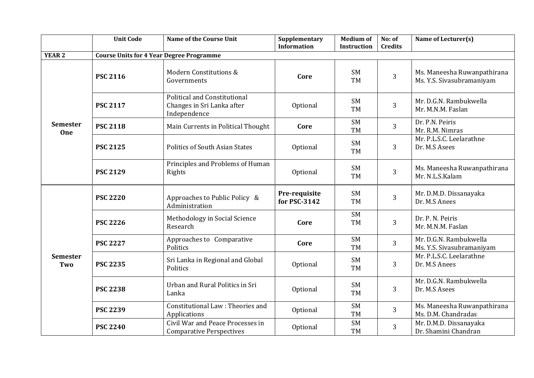|                               | <b>Unit Code</b> | <b>Name of the Course Unit</b>                                                    | Supplementary<br><b>Information</b> | <b>Medium of</b><br>Instruction | No: of<br><b>Credits</b> | Name of Lecturer(s)                                      |
|-------------------------------|------------------|-----------------------------------------------------------------------------------|-------------------------------------|---------------------------------|--------------------------|----------------------------------------------------------|
| <b>YEAR 2</b>                 |                  | <b>Course Units for 4 Year Degree Programme</b>                                   |                                     |                                 |                          |                                                          |
| <b>Semester</b><br><b>One</b> | <b>PSC 2116</b>  | Modern Constitutions &<br>Governments                                             | Core                                | <b>SM</b><br>TM                 | 3                        | Ms. Maneesha Ruwanpathirana<br>Ms. Y.S. Sivasubramaniyam |
|                               | <b>PSC 2117</b>  | <b>Political and Constitutional</b><br>Changes in Sri Lanka after<br>Independence | Optional                            | SM<br>TM                        | 3                        | Mr. D.G.N. Rambukwella<br>Mr. M.N.M. Faslan              |
|                               | <b>PSC 2118</b>  | Main Currents in Political Thought                                                | Core                                | <b>SM</b><br>TM                 | 3                        | Dr. P.N. Peiris<br>Mr. R.M. Nimras                       |
|                               | <b>PSC 2125</b>  | <b>Politics of South Asian States</b>                                             | Optional                            | SM<br><b>TM</b>                 | 3                        | Mr. P.L.S.C. Leelarathne<br>Dr. M.S Asees                |
|                               | <b>PSC 2129</b>  | Principles and Problems of Human<br>Rights                                        | Optional                            | SM<br>TM                        | 3                        | Ms. Maneesha Ruwanpathirana<br>Mr. N.L.S.Kalam           |
|                               | <b>PSC 2220</b>  | Approaches to Public Policy &<br>Administration                                   | Pre-requisite<br>for PSC-3142       | <b>SM</b><br>TM                 | 3                        | Mr. D.M.D. Dissanayaka<br>Dr. M.S Anees                  |
|                               | <b>PSC 2226</b>  | Methodology in Social Science<br>Research                                         | Core                                | <b>SM</b><br>TM                 | 3                        | Dr. P. N. Peiris<br>Mr. M.N.M. Faslan                    |
|                               | <b>PSC 2227</b>  | Approaches to Comparative<br>Politics                                             | Core                                | SM<br><b>TM</b>                 | 3                        | Mr. D.G.N. Rambukwella<br>Ms. Y.S. Sivasubramaniyam      |
| <b>Semester</b><br>Two        | <b>PSC 2235</b>  | Sri Lanka in Regional and Global<br>Politics                                      | Optional                            | SM<br>TM                        | 3                        | Mr. P.L.S.C. Leelarathne<br>Dr. M.S Anees                |
|                               | <b>PSC 2238</b>  | Urban and Rural Politics in Sri<br>Lanka                                          | Optional                            | <b>SM</b><br>TM                 | 3                        | Mr. D.G.N. Rambukwella<br>Dr. M.S Asees                  |
|                               | <b>PSC 2239</b>  | Constitutional Law: Theories and<br>Applications                                  | Optional                            | SM<br><b>TM</b>                 | 3                        | Ms. Maneesha Ruwanpathirana<br>Ms. D.M. Chandradas       |
|                               | <b>PSC 2240</b>  | Civil War and Peace Processes in<br><b>Comparative Perspectives</b>               | Optional                            | <b>SM</b><br><b>TM</b>          | 3                        | Mr. D.M.D. Dissanayaka<br>Dr. Shamini Chandran           |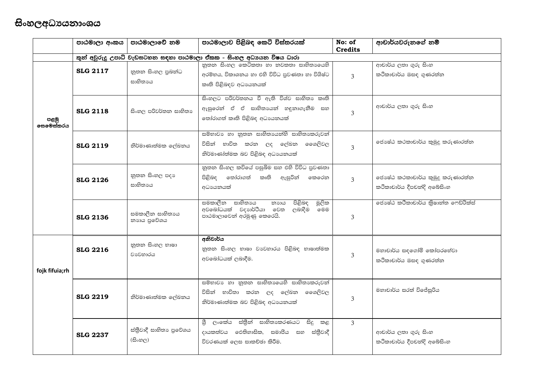# සිංහලඅධාපයනාංශය

|                   | පාඨමාලා අංකය    | පාඨමාලාවේ නම                      | පාඨමාලාව පිළිබඳ කෙටි විස්තරයක්                                                                                        | No: of<br><b>Credits</b> | ආචාර්යවරුනගේ නම්                                                |
|-------------------|-----------------|-----------------------------------|-----------------------------------------------------------------------------------------------------------------------|--------------------------|-----------------------------------------------------------------|
|                   |                 |                                   | තුන් අවුරුදු උපාධි වැඩසටහන සඳහා පාඨමාලා ඒකක - සිංහල අධායන විෂය ධාරා                                                   |                          |                                                                 |
|                   | <b>SLG 2117</b> | නූතන සිංහල පුබන්ධ<br>සාහිතායෙ     | නුතන සිංහල කෙටිකතා හා නවකතා සාහිතා ෙයහි<br>අරම්භය, විකාශනය හා එහි විවිධ පුවණතා හා විශිෂ්ට<br>කෘති පිළිබඳව අධාපයනයක්   | $\mathcal{L}$            | ආචාර්ය ලතා ගුරු සිංහ<br>කථිකාචාර්ය ඔසඳ ගුණරත්න                  |
| පළමු<br>ලසමෙස්තරය | <b>SLG 2118</b> | සිංහල පරිවර්තන සාහිතා             | සිංහලට පරිවර්තනය වී ඇති විශ්ව සාහිතා කෘති<br>ඇසුරෙන් ඒ ඒ සාහිතායන් හඳුනාගැනීම සහ<br>තෝරාගත් කෘති පිළිබඳ අධාපයනයක්     | 3                        | ආචාර්ය ලතා ගුරු සිංහ                                            |
|                   | <b>SLG 2119</b> | නිර්මාණාත්මක ලේඛනය                | සම්භාවා හා නූතන සාහිතායෙන්හි සාහිතාකරුවන්<br>නිර්මාණා්ත්මක බව පිළිබඳ අධාපයනයක්                                        | $\overline{3}$           | ජොෂ්ඨ කථකාචාර්ය කුමුදු කරුණාරත්න                                |
|                   | <b>SLG 2126</b> | නුතන සිංහල පදා<br>සාහිතායෙ        | නුතන සිංහල කවියේ පසුබිම සහ එහි විවිධ පුවණතා<br>පිළිබඳ තෝරාගත් කෘති ඇසුරින් කෙරෙන<br>අධායනයක්                          | $\overline{3}$           | ජොෂ්ඨ කථකාචාර්ය කුමුදු කරුණාරත්න<br>කථිකාචාර්ය දීපචන්දි අබේසිංහ |
|                   | <b>SLG 2136</b> | සමකාලීන සාහිතායෙ<br>නාගය පුවේශය   | සමකාලීන සාහිතායෙ<br>පිළිබඳ<br>මූලික<br>නාගය<br>අවබෝධයක් වදහාර්ථියා වෙත<br>ලබාදීම<br>෧මම<br>පාඨමාලාවෙන් අරමුණු කෙරෙයි. | 3                        | ජොෂ්ඨ කථිකාචාර්ය කිුෂාන්ත ෆෙඩ්රික්ස්                            |
| fojk fifuia;rh    | <b>SLG 2216</b> | නුතන සිංහල භාෂා<br>වාවෙහාරය       | අනිවාර්ය<br>නුතන සිංහල භාෂා වාවහාරය පිළිබඳ භාෂාත්මක<br>අවබෝධයක් ලබාදීම.                                               | $\overline{3}$           | මහාචාර්ය සඳගෝමි කෝපරහේවා<br>කථිකාචාර්ය ඔසඳ ගුණරත්න              |
|                   | <b>SLG 2219</b> | නිර්මාණාත්මක ලේඛනය                | සම්භාවා හා නූතන සාහිතායෙහි සාහිතාකරුවන්<br>නිර්මාණාත්මක බව පිළිබඳ අධාපයනයක්                                           | $\mathcal{E}$            | මහාචාර්ය සරත් විජේසුරිය                                         |
|                   | <b>SLG 2237</b> | ස්තීවාදී සාහිතා පුවේශය<br>(සිංහල) | ශී ලංකේය ස්තීුන් සාහිතාකරණයට සිදු කළ<br>දායකත්වය ඵෙතිහාසික, සමාජිය සහ ස්තීුවාදී<br>විවරණයක් ලෙස සාකච්ඡා කිරීම.        | $\mathcal{L}$            | ආචාර්ය ලතා ගුරු සිංහ<br>කථිකාචාර්ය දීපචන්දි අබේසිංහ             |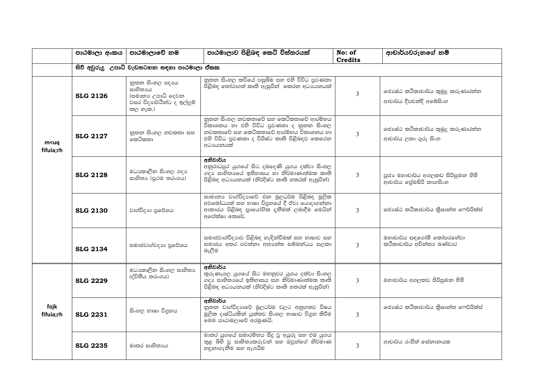|                            | පාඨමාලා අංකය    | පාඨමාලාවේ නම                                                                                | පාඨමාලාව පිළිබඳ කෙටි විස්තරයක්                                                                                                                                                            | No: of<br><b>Credits</b> | ආචාර්යවරුනගේ නම්                                             |
|----------------------------|-----------------|---------------------------------------------------------------------------------------------|-------------------------------------------------------------------------------------------------------------------------------------------------------------------------------------------|--------------------------|--------------------------------------------------------------|
|                            |                 | සිව් අවුරුදු උපාධි වැඩසටහන සඳහා පාඨමාලා ඒකක                                                 |                                                                                                                                                                                           |                          |                                                              |
| m <uq<br>fifuia;rh</uq<br> | <b>SLG 2126</b> | නුතන සිංහල පදාගෙ<br>සාහිතායෙ<br>(සමානා උපාධි දෙවන<br>වසර විදාහර්ථීන්ට ද ඉල්ලුම්<br>කල හැක.) | නුතන සිංහල කවියේ පසුබිම සහ එහි විවිධ පුවණතා<br>පිළිබඳ තෝරාගත් කෘති ඇසුරින් කෙරන අධායනයක්                                                                                                  | 3                        | ජොෂ්ඨ කථිකාචාර්ය කුමුදු කරුණාරත්ත<br>ආචාර්ය දීපචන්දි අබේසිංහ |
|                            | <b>SLG 2127</b> | නූතන සිංහල නවකතා සහ<br>කෙටිකතා                                                              | නුතන සිංහල නවකතාවේ සහ කෙටිකතාවේ ආරම්භය<br>විකාශනය හා එහි විවිධ පුවණතා ද නූතන සිංහල<br>නවකතාවේ සහ කෙටිකතාවේ ආරම්භය විකාශනය හා<br>එහි විවිධ පුවණතා ද විශිෂ්ට කෘති පිළිබඳව කෙරෙන<br>අධායනයක් | 3                        | ජොෂ්ඨ කථිකාචාර්ය කුමුදු කරුණාරත්ත<br>ආචාර්ය ලතා ගුරු සිංහ    |
|                            | <b>SLG 2128</b> | මධාකාලීන සිංහල ගදා<br>සාහිතා (පුථම තරංගය)                                                   | අනිවාර්ය<br>අනුරාධපුර යුගයේ සිට දඹදෙණි යුගය දක්වා සිංහල<br>ගදා සාහිතායේ ඉතිහාසය හා නිර්මාණාත්මක කෘති<br>පිළිබඳ අධායනයක් (නිර්දිෂ්ට කෘති හතරක් ඇසුරින්)                                    | $\mathcal{L}$            | පූජා මහාචාර්ය අගලකඩ සිරිසුමන හිමි<br>ආචාර්ය ලේමසිරි නාගසිංහ  |
|                            | <b>SLG 2130</b> | වාග්විදාහ පුවේශය                                                                            | සාමානා වාග්විදාහුවේ එන මූලධර්ම පිළිබඳ මූලික<br>අවබෝධයක් සහ භාෂා විගුහයේ දී ඒවා යොදාගන්නා<br>ආකාරය පිළිබඳ පායෝගික දුනීමක් ලබාදීම මෙයින්<br>අපේක්ෂා කෙරේ.                                   | $\overline{3}$           | ජොෂ්ඨ කථිකාචාර්ය කිුෂාන්ත ෆෙඩ්රික්ස්                         |
|                            | <b>SLG 2134</b> | සමාජවාග්වදාහ පුවේශය                                                                         | සමාජවාග්විදාහව පිළිබඳ හැඳින්වීමක් සහ භාෂාව සහ<br>සමාජය අතර පවත්තා අතාන්ත සම්බන්ධය සලකා<br>බැලීම                                                                                           | $\mathcal{L}$            | මහාචාර්ය සඳගෝමී කෝපරහේවා<br>කථිකාචාර්ය අචින්තා බණ්ඩාර        |
|                            | <b>SLG 2229</b> | මධාකාලීන සිංහල සාහිතා<br>(ද්විතීය තරංගය)                                                    | අනිවාර්ය<br>කුරුණෑගල යුගයේ සිට මහනුවර යුගය දක්වා සිංහල<br>ගදා සාහිතාගේ ඉතිහාසය සහ නිර්මාණාත්මක කෘති<br>පිළිබඳ අධායනයක් (නිර්දිෂ්ට කෘති හතරක් ඇසුරින්)                                     | 3                        | මහාචාර්ය අගලකඩ සිරිසුමන හිමි                                 |
| fojk<br>fifuia;rh          | <b>SLG 2231</b> | සිංහල භාෂා විගුහය                                                                           | අනිවාර්ය<br>නුතන වාග්විදාහුවේ මූලධර්ම වලට අනුගතව විෂය<br>මූලික දෘෂ්ටියකින් යුක්තව සිංහල භාෂාව විගුහ කිරීම<br>මෙම පාඨාමලාවේ අරමුණයි.                                                       | 3                        | ජොෂ්ඨ කථිකාචාර්ය කිුෂාන්ත ෆෙඩ්රික්ස්                         |
|                            | <b>SLG 2235</b> | මාතර සාහිතායෙ                                                                               | මාතර යුගයේ සමාරම්භය සිදු වූ අයුරු සහ එම යුගය<br>තුළ බිහි වූ සාහිතාකරුවත් සහ ඔවුන්ගේ නිර්මාණ<br>හඳුනාගැනීම සහ ඇගයීම                                                                        | 3                        | ආචාර්ය රංජිත් සේනානයක                                        |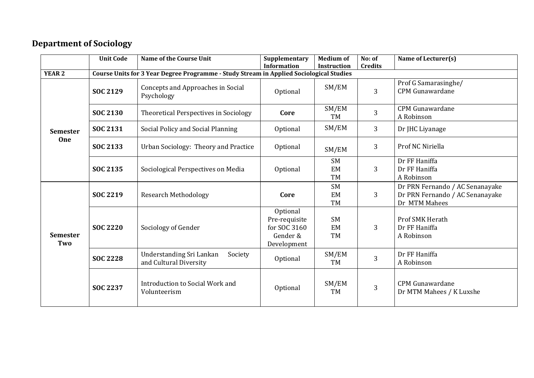# **Department of Sociology**

|                        | <b>Unit Code</b> | Name of the Course Unit                                                                 | Supplementary<br><b>Information</b>                                  | <b>Medium of</b><br><b>Instruction</b> | No: of<br><b>Credits</b> | Name of Lecturer(s)                                                                 |
|------------------------|------------------|-----------------------------------------------------------------------------------------|----------------------------------------------------------------------|----------------------------------------|--------------------------|-------------------------------------------------------------------------------------|
| <b>YEAR 2</b>          |                  | Course Units for 3 Year Degree Programme - Study Stream in Applied Sociological Studies |                                                                      |                                        |                          |                                                                                     |
|                        | <b>SOC 2129</b>  | Concepts and Approaches in Social<br>Psychology                                         | Optional                                                             | SM/EM                                  | 3                        | Prof G Samarasinghe/<br><b>CPM Gunawardane</b>                                      |
|                        | <b>SOC 2130</b>  | Theoretical Perspectives in Sociology                                                   | Core                                                                 | SM/EM<br>TM                            | 3                        | <b>CPM</b> Gunawardane<br>A Robinson                                                |
| <b>Semester</b>        | <b>SOC 2131</b>  | Social Policy and Social Planning                                                       | Optional                                                             | SM/EM                                  | 3                        | Dr JHC Liyanage                                                                     |
| One                    | SOC 2133         | Urban Sociology: Theory and Practice                                                    | Optional                                                             | SM/EM                                  | 3                        | Prof NC Niriella                                                                    |
|                        | <b>SOC 2135</b>  | Sociological Perspectives on Media                                                      | Optional                                                             | <b>SM</b><br>EM<br><b>TM</b>           | 3                        | Dr FF Haniffa<br>Dr FF Haniffa<br>A Robinson                                        |
|                        | <b>SOC 2219</b>  | <b>Research Methodology</b>                                                             | Core                                                                 | <b>SM</b><br>EM<br><b>TM</b>           | 3                        | Dr PRN Fernando / AC Senanayake<br>Dr PRN Fernando / AC Senanayake<br>Dr MTM Mahees |
| <b>Semester</b><br>Two | <b>SOC 2220</b>  | Sociology of Gender                                                                     | Optional<br>Pre-requisite<br>for SOC 3160<br>Gender &<br>Development | <b>SM</b><br><b>EM</b><br>TM           | 3                        | Prof SMK Herath<br>Dr FF Haniffa<br>A Robinson                                      |
|                        | <b>SOC 2228</b>  | Understanding Sri Lankan<br>Society<br>and Cultural Diversity                           | Optional                                                             | SM/EM<br>TM                            | 3                        | Dr FF Haniffa<br>A Robinson                                                         |
|                        | <b>SOC 2237</b>  | Introduction to Social Work and<br>Volunteerism                                         | Optional                                                             | SM/EM<br><b>TM</b>                     | 3                        | <b>CPM Gunawardane</b><br>Dr MTM Mahees / K Luxshe                                  |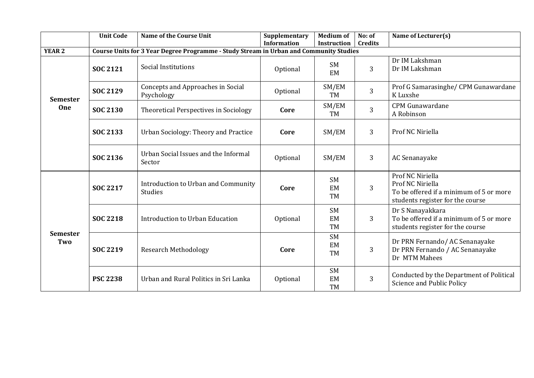|                        | <b>Unit Code</b> | <b>Name of the Course Unit</b>                                                         | Supplementary<br><b>Information</b> | <b>Medium of</b><br>Instruction | No: of<br><b>Credits</b> | Name of Lecturer(s)                                                                                                 |
|------------------------|------------------|----------------------------------------------------------------------------------------|-------------------------------------|---------------------------------|--------------------------|---------------------------------------------------------------------------------------------------------------------|
| <b>YEAR 2</b>          |                  | Course Units for 3 Year Degree Programme - Study Stream in Urban and Community Studies |                                     |                                 |                          |                                                                                                                     |
|                        | <b>SOC 2121</b>  | Social Institutions                                                                    | Optional                            | <b>SM</b><br>EM                 | 3                        | Dr IM Lakshman<br>Dr IM Lakshman                                                                                    |
| <b>Semester</b>        | SOC 2129         | Concepts and Approaches in Social<br>Psychology                                        | Optional                            | SM/EM<br><b>TM</b>              | 3                        | Prof G Samarasinghe/ CPM Gunawardane<br>K Luxshe                                                                    |
| One                    | <b>SOC 2130</b>  | Theoretical Perspectives in Sociology                                                  | Core                                | SM/EM<br><b>TM</b>              | 3                        | <b>CPM Gunawardane</b><br>A Robinson                                                                                |
|                        | SOC 2133         | Urban Sociology: Theory and Practice                                                   | Core                                | SM/EM                           | 3                        | Prof NC Niriella                                                                                                    |
|                        | SOC 2136         | Urban Social Issues and the Informal<br>Sector                                         | Optional                            | SM/EM                           | 3                        | AC Senanayake                                                                                                       |
| <b>Semester</b><br>Two | <b>SOC 2217</b>  | Introduction to Urban and Community<br><b>Studies</b>                                  | Core                                | <b>SM</b><br>EM<br><b>TM</b>    | 3                        | Prof NC Niriella<br>Prof NC Niriella<br>To be offered if a minimum of 5 or more<br>students register for the course |
|                        | <b>SOC 2218</b>  | Introduction to Urban Education                                                        | Optional                            | <b>SM</b><br>EM<br><b>TM</b>    | 3                        | Dr S Nanayakkara<br>To be offered if a minimum of 5 or more<br>students register for the course                     |
|                        | <b>SOC 2219</b>  | <b>Research Methodology</b>                                                            | Core                                | <b>SM</b><br>EM<br><b>TM</b>    | 3                        | Dr PRN Fernando/AC Senanayake<br>Dr PRN Fernando / AC Senanayake<br>Dr MTM Mahees                                   |
|                        | <b>PSC 2238</b>  | Urban and Rural Politics in Sri Lanka                                                  | Optional                            | <b>SM</b><br>EM<br><b>TM</b>    | 3                        | Conducted by the Department of Political<br>Science and Public Policy                                               |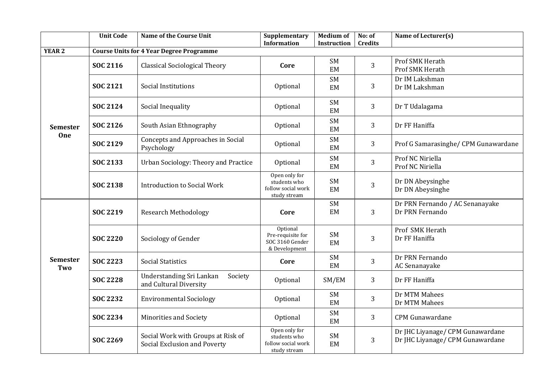|                        | <b>Unit Code</b> | Name of the Course Unit                                            | Supplementary<br><b>Information</b>                                 | <b>Medium of</b><br>Instruction | No: of<br><b>Credits</b> | Name of Lecturer(s)                                                  |
|------------------------|------------------|--------------------------------------------------------------------|---------------------------------------------------------------------|---------------------------------|--------------------------|----------------------------------------------------------------------|
| <b>YEAR 2</b>          |                  | <b>Course Units for 4 Year Degree Programme</b>                    |                                                                     |                                 |                          |                                                                      |
|                        | <b>SOC 2116</b>  | <b>Classical Sociological Theory</b>                               | Core                                                                | SM<br>EM                        | 3                        | Prof SMK Herath<br>Prof SMK Herath                                   |
|                        | <b>SOC 2121</b>  | Social Institutions                                                | Optional                                                            | <b>SM</b><br>EM                 | 3                        | Dr IM Lakshman<br>Dr IM Lakshman                                     |
|                        | <b>SOC 2124</b>  | Social Inequality                                                  | Optional                                                            | <b>SM</b><br>EM                 | 3                        | Dr T Udalagama                                                       |
| <b>Semester</b>        | SOC 2126         | South Asian Ethnography                                            | Optional                                                            | <b>SM</b><br>EM                 | 3                        | Dr FF Haniffa                                                        |
| One                    | <b>SOC 2129</b>  | Concepts and Approaches in Social<br>Psychology                    | Optional                                                            | <b>SM</b><br>EM                 | 3                        | Prof G Samarasinghe/ CPM Gunawardane                                 |
|                        | SOC 2133         | Urban Sociology: Theory and Practice                               | Optional                                                            | <b>SM</b><br>EM                 | 3                        | Prof NC Niriella<br>Prof NC Niriella                                 |
|                        | <b>SOC 2138</b>  | <b>Introduction to Social Work</b>                                 | Open only for<br>students who<br>follow social work<br>study stream | <b>SM</b><br>EM                 | 3                        | Dr DN Abeysinghe<br>Dr DN Abeysinghe                                 |
|                        | <b>SOC 2219</b>  | Research Methodology                                               | Core                                                                | <b>SM</b><br>EM                 | 3                        | Dr PRN Fernando / AC Senanayake<br>Dr PRN Fernando                   |
|                        | <b>SOC 2220</b>  | Sociology of Gender                                                | Optional<br>Pre-requisite for<br>SOC 3160 Gender<br>& Development   | <b>SM</b><br>EM                 | 3                        | Prof SMK Herath<br>Dr FF Haniffa                                     |
| <b>Semester</b><br>Two | <b>SOC 2223</b>  | <b>Social Statistics</b>                                           | Core                                                                | SM<br>EM                        | 3                        | Dr PRN Fernando<br>AC Senanayake                                     |
|                        | <b>SOC 2228</b>  | Understanding Sri Lankan<br>Society<br>and Cultural Diversity      | Optional                                                            | SM/EM                           | 3                        | Dr FF Haniffa                                                        |
|                        | <b>SOC 2232</b>  | <b>Environmental Sociology</b>                                     | Optional                                                            | SM<br>EM                        | 3                        | Dr MTM Mahees<br>Dr MTM Mahees                                       |
|                        | SOC 2234         | <b>Minorities and Society</b>                                      | Optional                                                            | <b>SM</b><br>EM                 | 3                        | <b>CPM</b> Gunawardane                                               |
|                        | SOC 2269         | Social Work with Groups at Risk of<br>Social Exclusion and Poverty | Open only for<br>students who<br>follow social work<br>study stream | SM<br>EM                        | 3                        | Dr JHC Liyanage/ CPM Gunawardane<br>Dr JHC Liyanage/ CPM Gunawardane |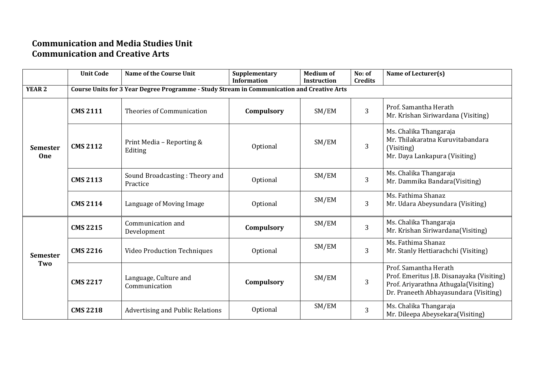#### **Communication and Media Studies Unit Communication and Creative Arts**

|                               | <b>Unit Code</b>                                                                           | <b>Name of the Course Unit</b>             | Supplementary<br><b>Information</b> | <b>Medium of</b><br><b>Instruction</b> | No: of<br><b>Credits</b> | Name of Lecturer(s)                                                                                                                                 |  |  |  |  |
|-------------------------------|--------------------------------------------------------------------------------------------|--------------------------------------------|-------------------------------------|----------------------------------------|--------------------------|-----------------------------------------------------------------------------------------------------------------------------------------------------|--|--|--|--|
| <b>YEAR 2</b>                 | Course Units for 3 Year Degree Programme - Study Stream in Communication and Creative Arts |                                            |                                     |                                        |                          |                                                                                                                                                     |  |  |  |  |
| <b>Semester</b><br><b>One</b> | <b>CMS 2111</b>                                                                            | Theories of Communication                  | Compulsory                          | SM/EM                                  | 3                        | Prof. Samantha Herath<br>Mr. Krishan Siriwardana (Visiting)                                                                                         |  |  |  |  |
|                               | <b>CMS 2112</b>                                                                            | Print Media - Reporting &<br>Editing       | Optional                            | SM/EM                                  | 3                        | Ms. Chalika Thangaraja<br>Mr. Thilakaratna Kuruvitabandara<br>(Visiting)<br>Mr. Daya Lankapura (Visiting)                                           |  |  |  |  |
|                               | <b>CMS 2113</b>                                                                            | Sound Broadcasting: Theory and<br>Practice | Optional                            | SM/EM                                  | 3                        | Ms. Chalika Thangaraja<br>Mr. Dammika Bandara(Visiting)                                                                                             |  |  |  |  |
|                               | <b>CMS 2114</b>                                                                            | Language of Moving Image                   | Optional                            | SM/EM                                  | 3                        | Ms. Fathima Shanaz<br>Mr. Udara Abeysundara (Visiting)                                                                                              |  |  |  |  |
| <b>Semester</b><br>Two        | <b>CMS 2215</b>                                                                            | Communication and<br>Development           | Compulsory                          | SM/EM                                  | 3                        | Ms. Chalika Thangaraja<br>Mr. Krishan Siriwardana(Visiting)                                                                                         |  |  |  |  |
|                               | <b>CMS 2216</b>                                                                            | <b>Video Production Techniques</b>         | Optional                            | SM/EM                                  | 3                        | Ms. Fathima Shanaz<br>Mr. Stanly Hettiarachchi (Visiting)                                                                                           |  |  |  |  |
|                               | <b>CMS 2217</b>                                                                            | Language, Culture and<br>Communication     | Compulsory                          | SM/EM                                  | 3                        | Prof. Samantha Herath<br>Prof. Emeritus J.B. Disanayaka (Visiting)<br>Prof. Ariyarathna Athugala(Visiting)<br>Dr. Praneeth Abhayasundara (Visiting) |  |  |  |  |
|                               | <b>CMS 2218</b>                                                                            | <b>Advertising and Public Relations</b>    | Optional                            | SM/EM                                  | 3                        | Ms. Chalika Thangaraja<br>Mr. Dileepa Abeysekara(Visiting)                                                                                          |  |  |  |  |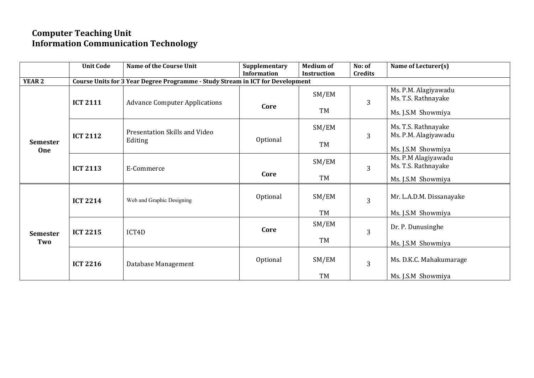#### **Computer Teaching Unit Information Communication Technology**

|                        | <b>Unit Code</b> | <b>Name of the Course Unit</b>                                                 | Supplementary<br><b>Information</b> | <b>Medium of</b><br><b>Instruction</b> | No: of<br><b>Credits</b> | Name of Lecturer(s)                                               |
|------------------------|------------------|--------------------------------------------------------------------------------|-------------------------------------|----------------------------------------|--------------------------|-------------------------------------------------------------------|
| <b>YEAR 2</b>          |                  | Course Units for 3 Year Degree Programme - Study Stream in ICT for Development |                                     |                                        |                          |                                                                   |
|                        | <b>ICT 2111</b>  | <b>Advance Computer Applications</b>                                           | Core                                | SM/EM<br>TM                            | $\overline{3}$           | Ms. P.M. Alagiyawadu<br>Ms. T.S. Rathnayake<br>Ms. J.S.M Showmiya |
| <b>Semester</b><br>One | <b>ICT 2112</b>  | Presentation Skills and Video<br>Editing                                       | Optional                            | SM/EM<br><b>TM</b>                     | $\overline{3}$           | Ms. T.S. Rathnayake<br>Ms. P.M. Alagiyawadu<br>Ms. J.S.M Showmiya |
|                        | <b>ICT 2113</b>  | E-Commerce                                                                     | Core                                | SM/EM<br>TM                            | $\overline{3}$           | Ms. P.M Alagiyawadu<br>Ms. T.S. Rathnayake<br>Ms. J.S.M Showmiya  |
| <b>Semester</b><br>Two | <b>ICT 2214</b>  | Web and Graphic Designing                                                      | Optional                            | SM/EM<br>TM                            | $\overline{3}$           | Mr. L.A.D.M. Dissanayake<br>Ms. J.S.M Showmiya                    |
|                        | <b>ICT 2215</b>  | ICT4D                                                                          | Core                                | SM/EM<br>TM                            | $\overline{3}$           | Dr. P. Dunusinghe<br>Ms. J.S.M Showmiya                           |
|                        | <b>ICT 2216</b>  | Database Management                                                            | Optional                            | SM/EM<br><b>TM</b>                     | $\overline{3}$           | Ms. D.K.C. Mahakumarage<br>Ms. J.S.M Showmiya                     |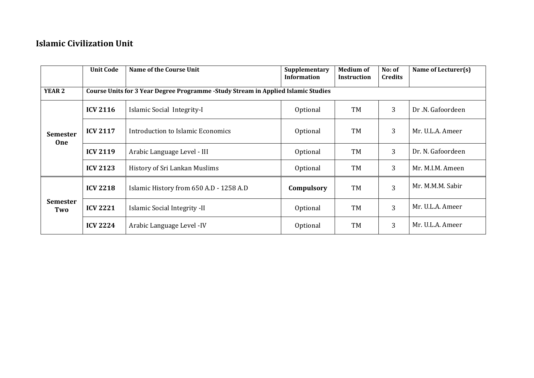#### **Islamic Civilization Unit**

|                        | <b>Unit Code</b>                                                                                                                                                                                                                                                                 | Name of the Course Unit                 | Supplementary<br><b>Information</b> | <b>Medium of</b><br><b>Instruction</b> | No: of<br><b>Credits</b> | Name of Lecturer(s) |  |  |
|------------------------|----------------------------------------------------------------------------------------------------------------------------------------------------------------------------------------------------------------------------------------------------------------------------------|-----------------------------------------|-------------------------------------|----------------------------------------|--------------------------|---------------------|--|--|
| <b>YEAR 2</b>          | Course Units for 3 Year Degree Programme -Study Stream in Applied Islamic Studies<br>3<br><b>ICV 2116</b><br>TM<br>Dr.N. Gafoordeen<br>Islamic Social Integrity-I<br>Optional<br>3<br><b>ICV 2117</b><br>TM<br>Introduction to Islamic Economics<br>Optional<br>Mr. U.L.A. Ameer |                                         |                                     |                                        |                          |                     |  |  |
| <b>Semester</b><br>One |                                                                                                                                                                                                                                                                                  |                                         |                                     |                                        |                          |                     |  |  |
|                        |                                                                                                                                                                                                                                                                                  |                                         |                                     |                                        |                          |                     |  |  |
|                        | <b>ICV 2119</b>                                                                                                                                                                                                                                                                  | Arabic Language Level - III             | Optional                            | TM                                     | 3                        | Dr. N. Gafoordeen   |  |  |
|                        | <b>ICV 2123</b>                                                                                                                                                                                                                                                                  | History of Sri Lankan Muslims           | Optional                            | TM                                     | 3                        | Mr. M.I.M. Ameen    |  |  |
| <b>Semester</b><br>Two | <b>ICV 2218</b>                                                                                                                                                                                                                                                                  | Islamic History from 650 A.D - 1258 A.D | Compulsory                          | TM                                     | 3                        | Mr. M.M.M. Sabir    |  |  |
|                        | <b>ICV 2221</b>                                                                                                                                                                                                                                                                  | Islamic Social Integrity -II            | Optional                            | TM                                     | 3                        | Mr. U.L.A. Ameer    |  |  |
|                        | <b>ICV 2224</b>                                                                                                                                                                                                                                                                  | Arabic Language Level - IV              | Optional                            | TM                                     | 3                        | Mr. U.L.A. Ameer    |  |  |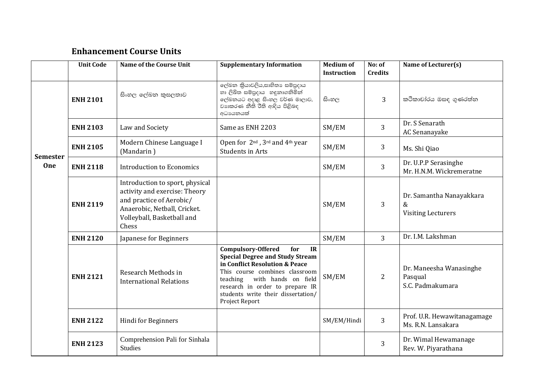#### **Enhancement Course Units**

|                 | <b>Unit Code</b> | <b>Name of the Course Unit</b>                                                                                                                                      | <b>Supplementary Information</b>                                                                                                                                                                                                                                                | <b>Medium of</b><br><b>Instruction</b> | No: of<br><b>Credits</b> | Name of Lecturer(s)                                        |
|-----------------|------------------|---------------------------------------------------------------------------------------------------------------------------------------------------------------------|---------------------------------------------------------------------------------------------------------------------------------------------------------------------------------------------------------------------------------------------------------------------------------|----------------------------------------|--------------------------|------------------------------------------------------------|
|                 | <b>ENH 2101</b>  | සිංහල ලේඛන කුසලතාව                                                                                                                                                  | ලේඛන කියාවලිය,සාහිතා සම්පුදාය<br>හා ලිඛිත සම්පුදාය හඳුනාගනිමින්<br>ලේඛනයට අදාළ සිංහල වර්ණ මාලාව,<br>වාහකරණ නීති රීති ආදිය පිළිබඳ<br>අධායනයක්                                                                                                                                    | සිංහල                                  | 3                        | කථිකාචාරය ඔසඳ ගුණරත්ත                                      |
|                 | <b>ENH 2103</b>  | Law and Society                                                                                                                                                     | Same as ENH 2203                                                                                                                                                                                                                                                                | SM/EM                                  | 3                        | Dr. S Senarath<br>AC Senanayake                            |
| <b>Semester</b> | <b>ENH 2105</b>  | Modern Chinese Language I<br>(Mandarin)                                                                                                                             | Open for 2 <sup>nd</sup> , 3 <sup>rd</sup> and 4 <sup>th</sup> year<br><b>Students in Arts</b>                                                                                                                                                                                  | SM/EM                                  | 3                        | Ms. Shi Qiao                                               |
| <b>One</b>      | <b>ENH 2118</b>  | Introduction to Economics                                                                                                                                           |                                                                                                                                                                                                                                                                                 | SM/EM                                  | $\overline{3}$           | Dr. U.P.P Serasinghe<br>Mr. H.N.M. Wickremeratne           |
|                 | <b>ENH 2119</b>  | Introduction to sport, physical<br>activity and exercise: Theory<br>and practice of Aerobic/<br>Anaerobic, Netball, Cricket.<br>Volleyball, Basketball and<br>Chess |                                                                                                                                                                                                                                                                                 | SM/EM                                  | 3                        | Dr. Samantha Nanayakkara<br>&<br><b>Visiting Lecturers</b> |
|                 | <b>ENH 2120</b>  | Japanese for Beginners                                                                                                                                              |                                                                                                                                                                                                                                                                                 | SM/EM                                  | 3                        | Dr. I.M. Lakshman                                          |
|                 | <b>ENH 2121</b>  | Research Methods in<br><b>International Relations</b>                                                                                                               | <b>Compulsory-Offered</b><br>IR<br>for<br><b>Special Degree and Study Stream</b><br>in Conflict Resolution & Peace<br>This course combines classroom<br>teaching with hands on field<br>research in order to prepare IR<br>students write their dissertation/<br>Project Report | SM/EM                                  | $\overline{2}$           | Dr. Maneesha Wanasinghe<br>Pasqual<br>S.C. Padmakumara     |
|                 | <b>ENH 2122</b>  | Hindi for Beginners                                                                                                                                                 |                                                                                                                                                                                                                                                                                 | SM/EM/Hindi                            | 3                        | Prof. U.R. Hewawitanagamage<br>Ms. R.N. Lansakara          |
|                 | <b>ENH 2123</b>  | Comprehension Pali for Sinhala<br><b>Studies</b>                                                                                                                    |                                                                                                                                                                                                                                                                                 |                                        | 3                        | Dr. Wimal Hewamanage<br>Rev. W. Piyarathana                |